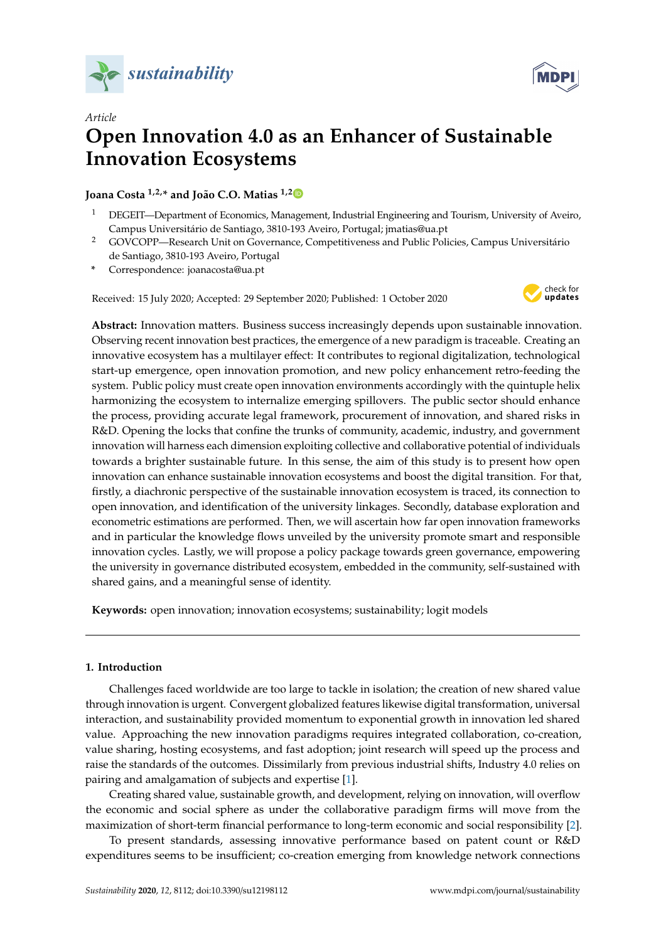



# *Article* **Open Innovation 4.0 as an Enhancer of Sustainable Innovation Ecosystems**

# **Joana Costa 1,2,\* and João C.O. Matias 1,[2](https://orcid.org/0000-0003-4329-6246)**

- <sup>1</sup> DEGEIT—Department of Economics, Management, Industrial Engineering and Tourism, University of Aveiro, Campus Universitário de Santiago, 3810-193 Aveiro, Portugal; jmatias@ua.pt
- <sup>2</sup> GOVCOPP—Research Unit on Governance, Competitiveness and Public Policies, Campus Universitário de Santiago, 3810-193 Aveiro, Portugal
- **\*** Correspondence: joanacosta@ua.pt

Received: 15 July 2020; Accepted: 29 September 2020; Published: 1 October 2020



**Abstract:** Innovation matters. Business success increasingly depends upon sustainable innovation. Observing recent innovation best practices, the emergence of a new paradigm is traceable. Creating an innovative ecosystem has a multilayer effect: It contributes to regional digitalization, technological start-up emergence, open innovation promotion, and new policy enhancement retro-feeding the system. Public policy must create open innovation environments accordingly with the quintuple helix harmonizing the ecosystem to internalize emerging spillovers. The public sector should enhance the process, providing accurate legal framework, procurement of innovation, and shared risks in R&D. Opening the locks that confine the trunks of community, academic, industry, and government innovation will harness each dimension exploiting collective and collaborative potential of individuals towards a brighter sustainable future. In this sense, the aim of this study is to present how open innovation can enhance sustainable innovation ecosystems and boost the digital transition. For that, firstly, a diachronic perspective of the sustainable innovation ecosystem is traced, its connection to open innovation, and identification of the university linkages. Secondly, database exploration and econometric estimations are performed. Then, we will ascertain how far open innovation frameworks and in particular the knowledge flows unveiled by the university promote smart and responsible innovation cycles. Lastly, we will propose a policy package towards green governance, empowering the university in governance distributed ecosystem, embedded in the community, self-sustained with shared gains, and a meaningful sense of identity.

**Keywords:** open innovation; innovation ecosystems; sustainability; logit models

# **1. Introduction**

Challenges faced worldwide are too large to tackle in isolation; the creation of new shared value through innovation is urgent. Convergent globalized features likewise digital transformation, universal interaction, and sustainability provided momentum to exponential growth in innovation led shared value. Approaching the new innovation paradigms requires integrated collaboration, co-creation, value sharing, hosting ecosystems, and fast adoption; joint research will speed up the process and raise the standards of the outcomes. Dissimilarly from previous industrial shifts, Industry 4.0 relies on pairing and amalgamation of subjects and expertise [\[1\]](#page-15-0).

Creating shared value, sustainable growth, and development, relying on innovation, will overflow the economic and social sphere as under the collaborative paradigm firms will move from the maximization of short-term financial performance to long-term economic and social responsibility [\[2\]](#page-15-1).

To present standards, assessing innovative performance based on patent count or R&D expenditures seems to be insufficient; co-creation emerging from knowledge network connections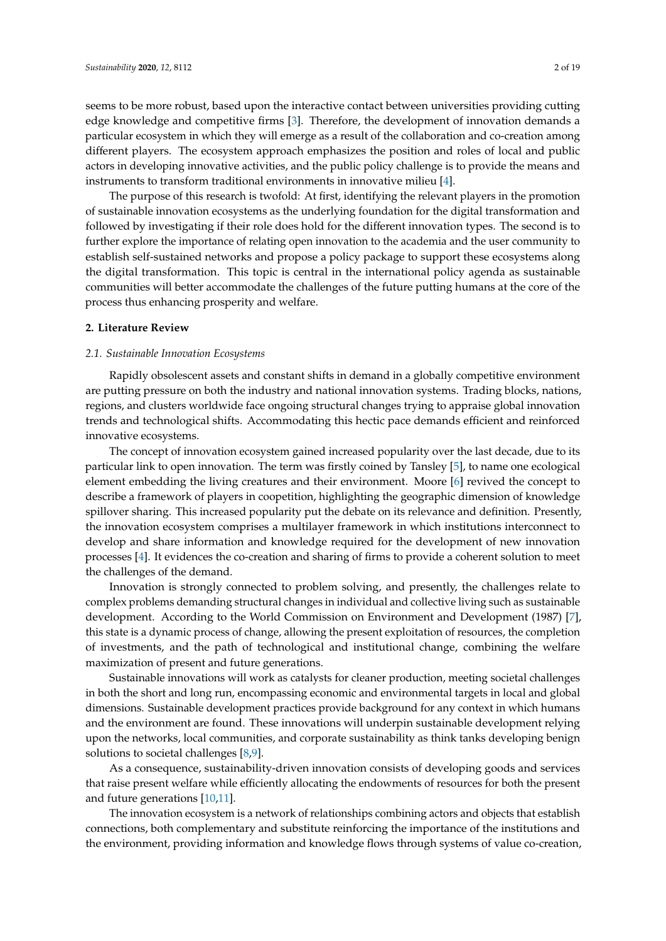seems to be more robust, based upon the interactive contact between universities providing cutting edge knowledge and competitive firms [\[3\]](#page-15-2). Therefore, the development of innovation demands a particular ecosystem in which they will emerge as a result of the collaboration and co-creation among different players. The ecosystem approach emphasizes the position and roles of local and public actors in developing innovative activities, and the public policy challenge is to provide the means and instruments to transform traditional environments in innovative milieu [\[4\]](#page-15-3).

The purpose of this research is twofold: At first, identifying the relevant players in the promotion of sustainable innovation ecosystems as the underlying foundation for the digital transformation and followed by investigating if their role does hold for the different innovation types. The second is to further explore the importance of relating open innovation to the academia and the user community to establish self-sustained networks and propose a policy package to support these ecosystems along the digital transformation. This topic is central in the international policy agenda as sustainable communities will better accommodate the challenges of the future putting humans at the core of the process thus enhancing prosperity and welfare.

#### **2. Literature Review**

#### *2.1. Sustainable Innovation Ecosystems*

Rapidly obsolescent assets and constant shifts in demand in a globally competitive environment are putting pressure on both the industry and national innovation systems. Trading blocks, nations, regions, and clusters worldwide face ongoing structural changes trying to appraise global innovation trends and technological shifts. Accommodating this hectic pace demands efficient and reinforced innovative ecosystems.

The concept of innovation ecosystem gained increased popularity over the last decade, due to its particular link to open innovation. The term was firstly coined by Tansley [\[5\]](#page-15-4), to name one ecological element embedding the living creatures and their environment. Moore [\[6\]](#page-15-5) revived the concept to describe a framework of players in coopetition, highlighting the geographic dimension of knowledge spillover sharing. This increased popularity put the debate on its relevance and definition. Presently, the innovation ecosystem comprises a multilayer framework in which institutions interconnect to develop and share information and knowledge required for the development of new innovation processes [\[4\]](#page-15-3). It evidences the co-creation and sharing of firms to provide a coherent solution to meet the challenges of the demand.

Innovation is strongly connected to problem solving, and presently, the challenges relate to complex problems demanding structural changes in individual and collective living such as sustainable development. According to the World Commission on Environment and Development (1987) [\[7\]](#page-15-6), this state is a dynamic process of change, allowing the present exploitation of resources, the completion of investments, and the path of technological and institutional change, combining the welfare maximization of present and future generations.

Sustainable innovations will work as catalysts for cleaner production, meeting societal challenges in both the short and long run, encompassing economic and environmental targets in local and global dimensions. Sustainable development practices provide background for any context in which humans and the environment are found. These innovations will underpin sustainable development relying upon the networks, local communities, and corporate sustainability as think tanks developing benign solutions to societal challenges [\[8,](#page-15-7)[9\]](#page-15-8).

As a consequence, sustainability-driven innovation consists of developing goods and services that raise present welfare while efficiently allocating the endowments of resources for both the present and future generations [\[10,](#page-15-9)[11\]](#page-15-10).

The innovation ecosystem is a network of relationships combining actors and objects that establish connections, both complementary and substitute reinforcing the importance of the institutions and the environment, providing information and knowledge flows through systems of value co-creation,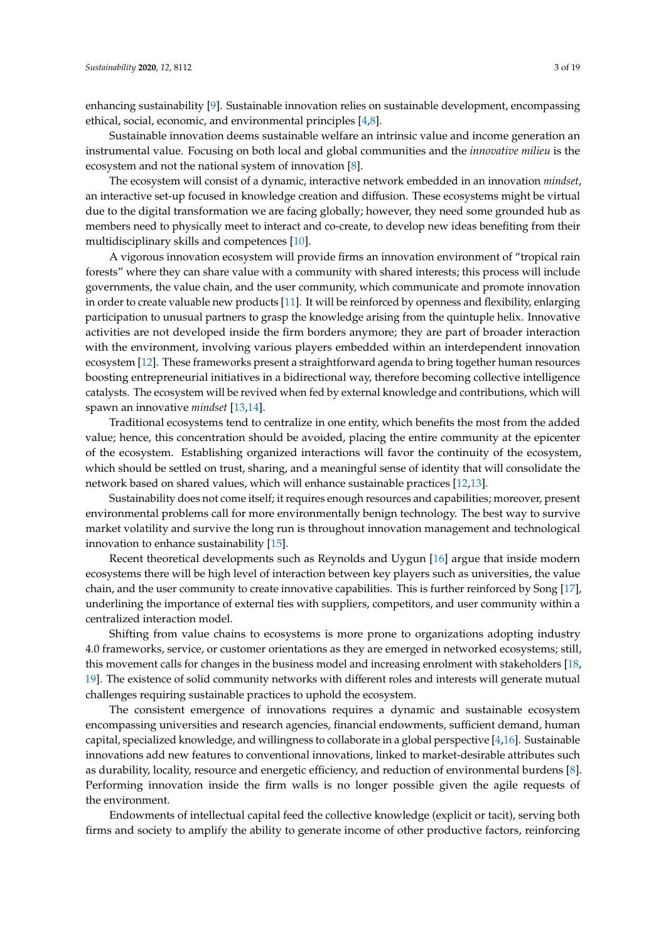enhancing sustainability [\[9\]](#page-15-8). Sustainable innovation relies on sustainable development, encompassing ethical, social, economic, and environmental principles [\[4](#page-15-3)[,8\]](#page-15-7).

Sustainable innovation deems sustainable welfare an intrinsic value and income generation an instrumental value. Focusing on both local and global communities and the *innovative milieu* is the ecosystem and not the national system of innovation [\[8\]](#page-15-7).

The ecosystem will consist of a dynamic, interactive network embedded in an innovation *mindset*, an interactive set-up focused in knowledge creation and diffusion. These ecosystems might be virtual due to the digital transformation we are facing globally; however, they need some grounded hub as members need to physically meet to interact and co-create, to develop new ideas benefiting from their multidisciplinary skills and competences [\[10\]](#page-15-9).

A vigorous innovation ecosystem will provide firms an innovation environment of "tropical rain forests" where they can share value with a community with shared interests; this process will include governments, the value chain, and the user community, which communicate and promote innovation in order to create valuable new products [\[11\]](#page-15-10). It will be reinforced by openness and flexibility, enlarging participation to unusual partners to grasp the knowledge arising from the quintuple helix. Innovative activities are not developed inside the firm borders anymore; they are part of broader interaction with the environment, involving various players embedded within an interdependent innovation ecosystem [\[12\]](#page-15-11). These frameworks present a straightforward agenda to bring together human resources boosting entrepreneurial initiatives in a bidirectional way, therefore becoming collective intelligence catalysts. The ecosystem will be revived when fed by external knowledge and contributions, which will spawn an innovative *mindset* [\[13,](#page-15-12)[14\]](#page-15-13).

Traditional ecosystems tend to centralize in one entity, which benefits the most from the added value; hence, this concentration should be avoided, placing the entire community at the epicenter of the ecosystem. Establishing organized interactions will favor the continuity of the ecosystem, which should be settled on trust, sharing, and a meaningful sense of identity that will consolidate the network based on shared values, which will enhance sustainable practices [\[12,](#page-15-11)[13\]](#page-15-12).

Sustainability does not come itself; it requires enough resources and capabilities; moreover, present environmental problems call for more environmentally benign technology. The best way to survive market volatility and survive the long run is throughout innovation management and technological innovation to enhance sustainability [\[15\]](#page-15-14).

Recent theoretical developments such as Reynolds and Uygun [\[16\]](#page-15-15) argue that inside modern ecosystems there will be high level of interaction between key players such as universities, the value chain, and the user community to create innovative capabilities. This is further reinforced by Song [\[17\]](#page-15-16), underlining the importance of external ties with suppliers, competitors, and user community within a centralized interaction model.

Shifting from value chains to ecosystems is more prone to organizations adopting industry 4.0 frameworks, service, or customer orientations as they are emerged in networked ecosystems; still, this movement calls for changes in the business model and increasing enrolment with stakeholders [\[18,](#page-15-17) [19\]](#page-15-18). The existence of solid community networks with different roles and interests will generate mutual challenges requiring sustainable practices to uphold the ecosystem.

The consistent emergence of innovations requires a dynamic and sustainable ecosystem encompassing universities and research agencies, financial endowments, sufficient demand, human capital, specialized knowledge, and willingness to collaborate in a global perspective [\[4](#page-15-3)[,16\]](#page-15-15). Sustainable innovations add new features to conventional innovations, linked to market-desirable attributes such as durability, locality, resource and energetic efficiency, and reduction of environmental burdens [\[8\]](#page-15-7). Performing innovation inside the firm walls is no longer possible given the agile requests of the environment.

Endowments of intellectual capital feed the collective knowledge (explicit or tacit), serving both firms and society to amplify the ability to generate income of other productive factors, reinforcing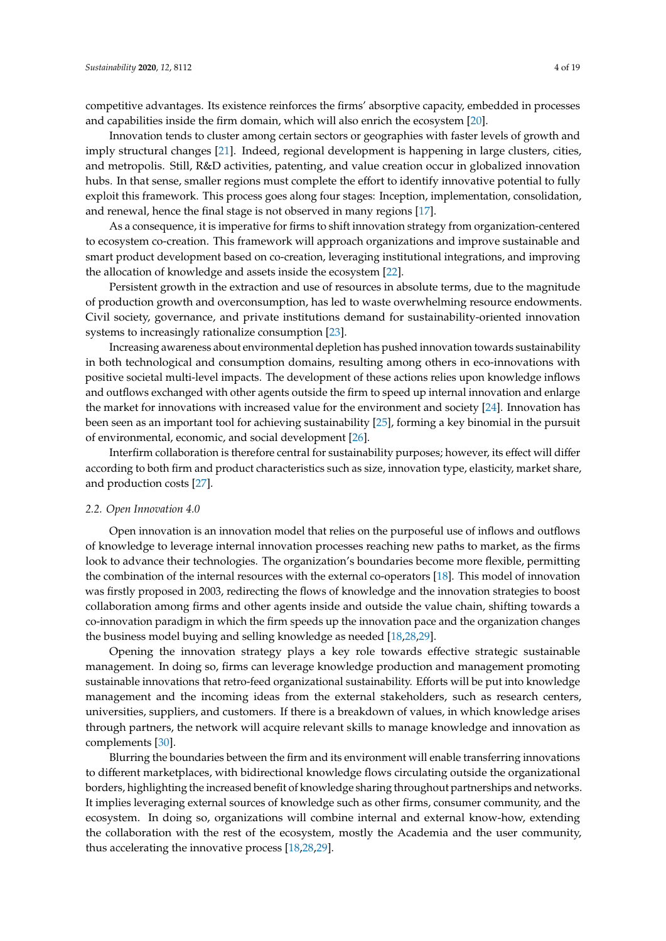competitive advantages. Its existence reinforces the firms' absorptive capacity, embedded in processes and capabilities inside the firm domain, which will also enrich the ecosystem [\[20\]](#page-15-19).

Innovation tends to cluster among certain sectors or geographies with faster levels of growth and imply structural changes [\[21\]](#page-15-20). Indeed, regional development is happening in large clusters, cities, and metropolis. Still, R&D activities, patenting, and value creation occur in globalized innovation hubs. In that sense, smaller regions must complete the effort to identify innovative potential to fully exploit this framework. This process goes along four stages: Inception, implementation, consolidation, and renewal, hence the final stage is not observed in many regions [\[17\]](#page-15-16).

As a consequence, it is imperative for firms to shift innovation strategy from organization-centered to ecosystem co-creation. This framework will approach organizations and improve sustainable and smart product development based on co-creation, leveraging institutional integrations, and improving the allocation of knowledge and assets inside the ecosystem [\[22\]](#page-15-21).

Persistent growth in the extraction and use of resources in absolute terms, due to the magnitude of production growth and overconsumption, has led to waste overwhelming resource endowments. Civil society, governance, and private institutions demand for sustainability-oriented innovation systems to increasingly rationalize consumption [\[23\]](#page-15-22).

Increasing awareness about environmental depletion has pushed innovation towards sustainability in both technological and consumption domains, resulting among others in eco-innovations with positive societal multi-level impacts. The development of these actions relies upon knowledge inflows and outflows exchanged with other agents outside the firm to speed up internal innovation and enlarge the market for innovations with increased value for the environment and society [\[24\]](#page-15-23). Innovation has been seen as an important tool for achieving sustainability [\[25\]](#page-16-0), forming a key binomial in the pursuit of environmental, economic, and social development [\[26\]](#page-16-1).

Interfirm collaboration is therefore central for sustainability purposes; however, its effect will differ according to both firm and product characteristics such as size, innovation type, elasticity, market share, and production costs [\[27\]](#page-16-2).

#### *2.2. Open Innovation 4.0*

Open innovation is an innovation model that relies on the purposeful use of inflows and outflows of knowledge to leverage internal innovation processes reaching new paths to market, as the firms look to advance their technologies. The organization's boundaries become more flexible, permitting the combination of the internal resources with the external co-operators [\[18\]](#page-15-17). This model of innovation was firstly proposed in 2003, redirecting the flows of knowledge and the innovation strategies to boost collaboration among firms and other agents inside and outside the value chain, shifting towards a co-innovation paradigm in which the firm speeds up the innovation pace and the organization changes the business model buying and selling knowledge as needed [\[18,](#page-15-17)[28](#page-16-3)[,29\]](#page-16-4).

Opening the innovation strategy plays a key role towards effective strategic sustainable management. In doing so, firms can leverage knowledge production and management promoting sustainable innovations that retro-feed organizational sustainability. Efforts will be put into knowledge management and the incoming ideas from the external stakeholders, such as research centers, universities, suppliers, and customers. If there is a breakdown of values, in which knowledge arises through partners, the network will acquire relevant skills to manage knowledge and innovation as complements [\[30\]](#page-16-5).

Blurring the boundaries between the firm and its environment will enable transferring innovations to different marketplaces, with bidirectional knowledge flows circulating outside the organizational borders, highlighting the increased benefit of knowledge sharing throughout partnerships and networks. It implies leveraging external sources of knowledge such as other firms, consumer community, and the ecosystem. In doing so, organizations will combine internal and external know-how, extending the collaboration with the rest of the ecosystem, mostly the Academia and the user community, thus accelerating the innovative process [\[18](#page-15-17)[,28](#page-16-3)[,29\]](#page-16-4).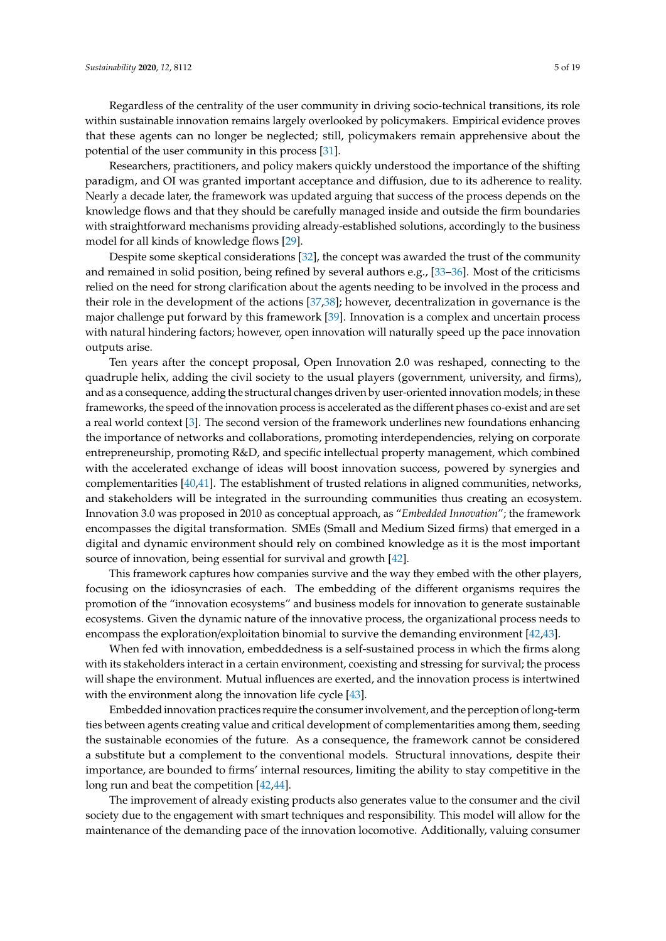Regardless of the centrality of the user community in driving socio-technical transitions, its role within sustainable innovation remains largely overlooked by policymakers. Empirical evidence proves that these agents can no longer be neglected; still, policymakers remain apprehensive about the potential of the user community in this process [\[31\]](#page-16-6).

Researchers, practitioners, and policy makers quickly understood the importance of the shifting paradigm, and OI was granted important acceptance and diffusion, due to its adherence to reality. Nearly a decade later, the framework was updated arguing that success of the process depends on the knowledge flows and that they should be carefully managed inside and outside the firm boundaries with straightforward mechanisms providing already-established solutions, accordingly to the business model for all kinds of knowledge flows [\[29\]](#page-16-4).

Despite some skeptical considerations [\[32\]](#page-16-7), the concept was awarded the trust of the community and remained in solid position, being refined by several authors e.g., [\[33–](#page-16-8)[36\]](#page-16-9). Most of the criticisms relied on the need for strong clarification about the agents needing to be involved in the process and their role in the development of the actions [\[37](#page-16-10)[,38\]](#page-16-11); however, decentralization in governance is the major challenge put forward by this framework [\[39\]](#page-16-12). Innovation is a complex and uncertain process with natural hindering factors; however, open innovation will naturally speed up the pace innovation outputs arise.

Ten years after the concept proposal, Open Innovation 2.0 was reshaped, connecting to the quadruple helix, adding the civil society to the usual players (government, university, and firms), and as a consequence, adding the structural changes driven by user-oriented innovation models; in these frameworks, the speed of the innovation process is accelerated as the different phases co-exist and are set a real world context [\[3\]](#page-15-2). The second version of the framework underlines new foundations enhancing the importance of networks and collaborations, promoting interdependencies, relying on corporate entrepreneurship, promoting R&D, and specific intellectual property management, which combined with the accelerated exchange of ideas will boost innovation success, powered by synergies and complementarities [\[40](#page-16-13)[,41\]](#page-16-14). The establishment of trusted relations in aligned communities, networks, and stakeholders will be integrated in the surrounding communities thus creating an ecosystem. Innovation 3.0 was proposed in 2010 as conceptual approach, as "*Embedded Innovation*"; the framework encompasses the digital transformation. SMEs (Small and Medium Sized firms) that emerged in a digital and dynamic environment should rely on combined knowledge as it is the most important source of innovation, being essential for survival and growth [\[42\]](#page-16-15).

This framework captures how companies survive and the way they embed with the other players, focusing on the idiosyncrasies of each. The embedding of the different organisms requires the promotion of the "innovation ecosystems" and business models for innovation to generate sustainable ecosystems. Given the dynamic nature of the innovative process, the organizational process needs to encompass the exploration/exploitation binomial to survive the demanding environment [\[42,](#page-16-15)[43\]](#page-16-16).

When fed with innovation, embeddedness is a self-sustained process in which the firms along with its stakeholders interact in a certain environment, coexisting and stressing for survival; the process will shape the environment. Mutual influences are exerted, and the innovation process is intertwined with the environment along the innovation life cycle [\[43\]](#page-16-16).

Embedded innovation practices require the consumer involvement, and the perception of long-term ties between agents creating value and critical development of complementarities among them, seeding the sustainable economies of the future. As a consequence, the framework cannot be considered a substitute but a complement to the conventional models. Structural innovations, despite their importance, are bounded to firms' internal resources, limiting the ability to stay competitive in the long run and beat the competition [\[42,](#page-16-15)[44\]](#page-16-17).

The improvement of already existing products also generates value to the consumer and the civil society due to the engagement with smart techniques and responsibility. This model will allow for the maintenance of the demanding pace of the innovation locomotive. Additionally, valuing consumer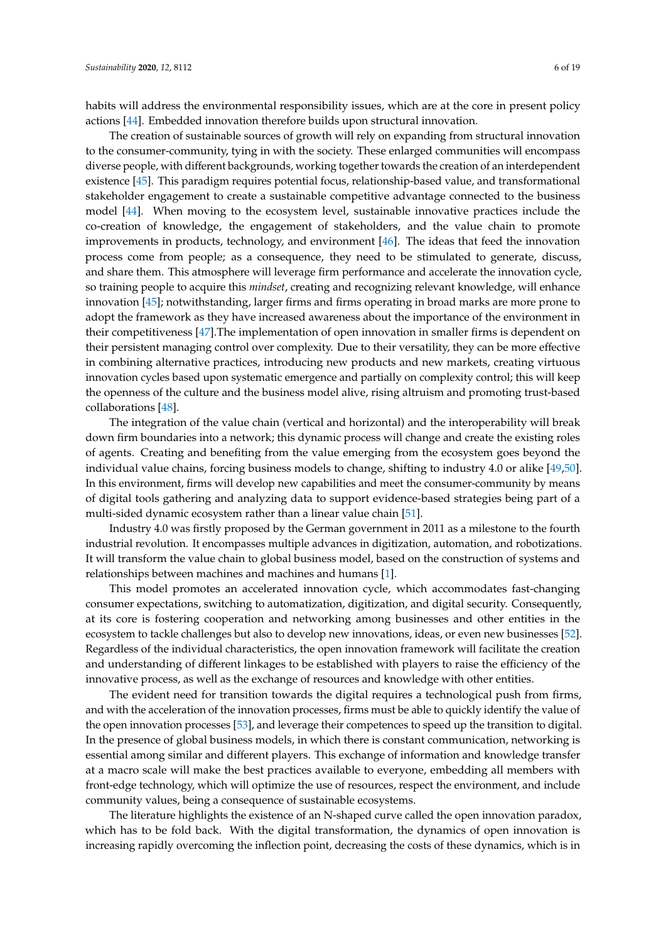habits will address the environmental responsibility issues, which are at the core in present policy actions [\[44\]](#page-16-17). Embedded innovation therefore builds upon structural innovation.

The creation of sustainable sources of growth will rely on expanding from structural innovation to the consumer-community, tying in with the society. These enlarged communities will encompass diverse people, with different backgrounds, working together towards the creation of an interdependent existence [\[45\]](#page-16-18). This paradigm requires potential focus, relationship-based value, and transformational stakeholder engagement to create a sustainable competitive advantage connected to the business model [\[44\]](#page-16-17). When moving to the ecosystem level, sustainable innovative practices include the co-creation of knowledge, the engagement of stakeholders, and the value chain to promote improvements in products, technology, and environment [\[46\]](#page-16-19). The ideas that feed the innovation process come from people; as a consequence, they need to be stimulated to generate, discuss, and share them. This atmosphere will leverage firm performance and accelerate the innovation cycle, so training people to acquire this *mindset*, creating and recognizing relevant knowledge, will enhance innovation [\[45\]](#page-16-18); notwithstanding, larger firms and firms operating in broad marks are more prone to adopt the framework as they have increased awareness about the importance of the environment in their competitiveness [\[47\]](#page-16-20).The implementation of open innovation in smaller firms is dependent on their persistent managing control over complexity. Due to their versatility, they can be more effective in combining alternative practices, introducing new products and new markets, creating virtuous innovation cycles based upon systematic emergence and partially on complexity control; this will keep the openness of the culture and the business model alive, rising altruism and promoting trust-based collaborations [\[48\]](#page-16-21).

The integration of the value chain (vertical and horizontal) and the interoperability will break down firm boundaries into a network; this dynamic process will change and create the existing roles of agents. Creating and benefiting from the value emerging from the ecosystem goes beyond the individual value chains, forcing business models to change, shifting to industry 4.0 or alike [\[49,](#page-16-22)[50\]](#page-16-23). In this environment, firms will develop new capabilities and meet the consumer-community by means of digital tools gathering and analyzing data to support evidence-based strategies being part of a multi-sided dynamic ecosystem rather than a linear value chain [\[51\]](#page-16-24).

Industry 4.0 was firstly proposed by the German government in 2011 as a milestone to the fourth industrial revolution. It encompasses multiple advances in digitization, automation, and robotizations. It will transform the value chain to global business model, based on the construction of systems and relationships between machines and machines and humans [\[1\]](#page-15-0).

This model promotes an accelerated innovation cycle, which accommodates fast-changing consumer expectations, switching to automatization, digitization, and digital security. Consequently, at its core is fostering cooperation and networking among businesses and other entities in the ecosystem to tackle challenges but also to develop new innovations, ideas, or even new businesses [\[52\]](#page-17-0). Regardless of the individual characteristics, the open innovation framework will facilitate the creation and understanding of different linkages to be established with players to raise the efficiency of the innovative process, as well as the exchange of resources and knowledge with other entities.

The evident need for transition towards the digital requires a technological push from firms, and with the acceleration of the innovation processes, firms must be able to quickly identify the value of the open innovation processes [\[53\]](#page-17-1), and leverage their competences to speed up the transition to digital. In the presence of global business models, in which there is constant communication, networking is essential among similar and different players. This exchange of information and knowledge transfer at a macro scale will make the best practices available to everyone, embedding all members with front-edge technology, which will optimize the use of resources, respect the environment, and include community values, being a consequence of sustainable ecosystems.

The literature highlights the existence of an N-shaped curve called the open innovation paradox, which has to be fold back. With the digital transformation, the dynamics of open innovation is increasing rapidly overcoming the inflection point, decreasing the costs of these dynamics, which is in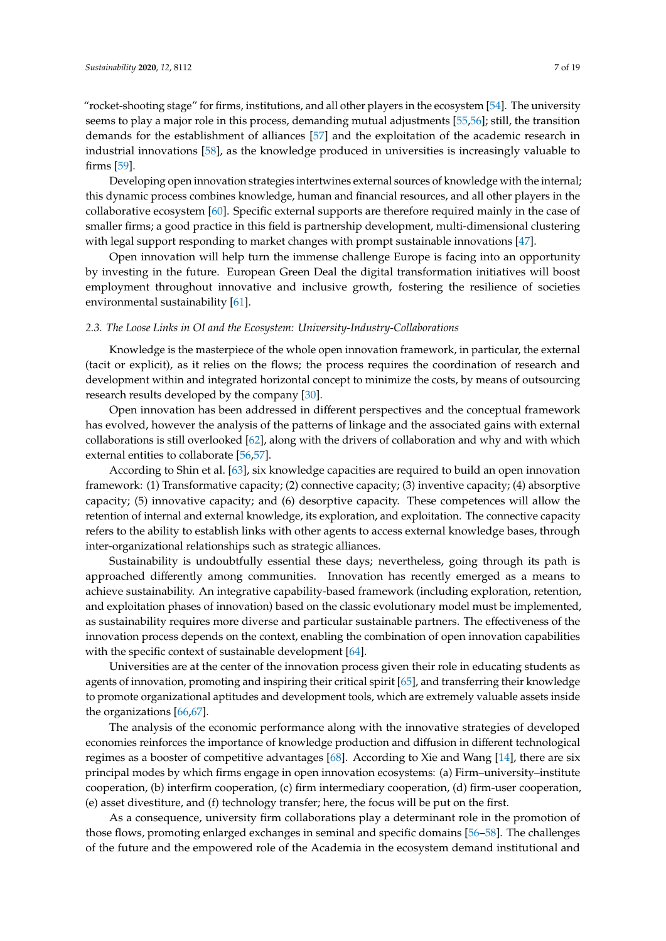"rocket-shooting stage" for firms, institutions, and all other players in the ecosystem [\[54\]](#page-17-2). The university seems to play a major role in this process, demanding mutual adjustments [\[55,](#page-17-3)[56\]](#page-17-4); still, the transition demands for the establishment of alliances [\[57\]](#page-17-5) and the exploitation of the academic research in industrial innovations [\[58\]](#page-17-6), as the knowledge produced in universities is increasingly valuable to firms [\[59\]](#page-17-7).

Developing open innovation strategies intertwines external sources of knowledge with the internal; this dynamic process combines knowledge, human and financial resources, and all other players in the collaborative ecosystem [\[60\]](#page-17-8). Specific external supports are therefore required mainly in the case of smaller firms; a good practice in this field is partnership development, multi-dimensional clustering with legal support responding to market changes with prompt sustainable innovations [\[47\]](#page-16-20).

Open innovation will help turn the immense challenge Europe is facing into an opportunity by investing in the future. European Green Deal the digital transformation initiatives will boost employment throughout innovative and inclusive growth, fostering the resilience of societies environmental sustainability [\[61\]](#page-17-9).

#### *2.3. The Loose Links in OI and the Ecosystem: University-Industry-Collaborations*

Knowledge is the masterpiece of the whole open innovation framework, in particular, the external (tacit or explicit), as it relies on the flows; the process requires the coordination of research and development within and integrated horizontal concept to minimize the costs, by means of outsourcing research results developed by the company [\[30\]](#page-16-5).

Open innovation has been addressed in different perspectives and the conceptual framework has evolved, however the analysis of the patterns of linkage and the associated gains with external collaborations is still overlooked [\[62\]](#page-17-10), along with the drivers of collaboration and why and with which external entities to collaborate [\[56](#page-17-4)[,57\]](#page-17-5).

According to Shin et al. [\[63\]](#page-17-11), six knowledge capacities are required to build an open innovation framework: (1) Transformative capacity; (2) connective capacity; (3) inventive capacity; (4) absorptive capacity; (5) innovative capacity; and (6) desorptive capacity. These competences will allow the retention of internal and external knowledge, its exploration, and exploitation. The connective capacity refers to the ability to establish links with other agents to access external knowledge bases, through inter-organizational relationships such as strategic alliances.

Sustainability is undoubtfully essential these days; nevertheless, going through its path is approached differently among communities. Innovation has recently emerged as a means to achieve sustainability. An integrative capability-based framework (including exploration, retention, and exploitation phases of innovation) based on the classic evolutionary model must be implemented, as sustainability requires more diverse and particular sustainable partners. The effectiveness of the innovation process depends on the context, enabling the combination of open innovation capabilities with the specific context of sustainable development [\[64\]](#page-17-12).

Universities are at the center of the innovation process given their role in educating students as agents of innovation, promoting and inspiring their critical spirit [\[65\]](#page-17-13), and transferring their knowledge to promote organizational aptitudes and development tools, which are extremely valuable assets inside the organizations [\[66,](#page-17-14)[67\]](#page-17-15).

The analysis of the economic performance along with the innovative strategies of developed economies reinforces the importance of knowledge production and diffusion in different technological regimes as a booster of competitive advantages [\[68\]](#page-17-16). According to Xie and Wang [\[14\]](#page-15-13), there are six principal modes by which firms engage in open innovation ecosystems: (a) Firm–university–institute cooperation, (b) interfirm cooperation, (c) firm intermediary cooperation, (d) firm-user cooperation, (e) asset divestiture, and (f) technology transfer; here, the focus will be put on the first.

As a consequence, university firm collaborations play a determinant role in the promotion of those flows, promoting enlarged exchanges in seminal and specific domains [\[56–](#page-17-4)[58\]](#page-17-6). The challenges of the future and the empowered role of the Academia in the ecosystem demand institutional and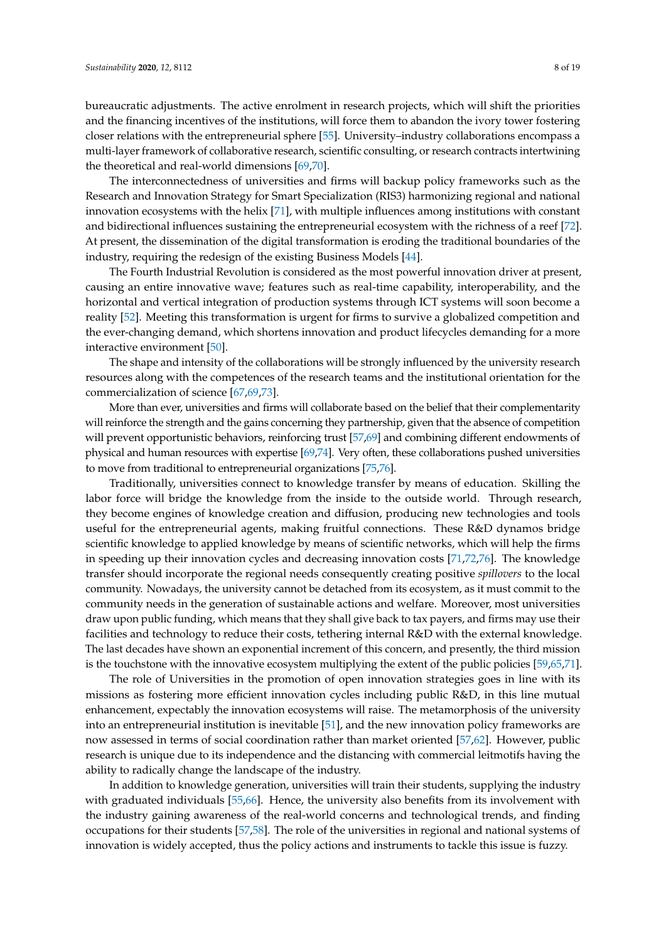bureaucratic adjustments. The active enrolment in research projects, which will shift the priorities and the financing incentives of the institutions, will force them to abandon the ivory tower fostering closer relations with the entrepreneurial sphere [\[55\]](#page-17-3). University–industry collaborations encompass a multi-layer framework of collaborative research, scientific consulting, or research contracts intertwining the theoretical and real-world dimensions [\[69,](#page-17-17)[70\]](#page-17-18).

The interconnectedness of universities and firms will backup policy frameworks such as the Research and Innovation Strategy for Smart Specialization (RIS3) harmonizing regional and national innovation ecosystems with the helix [\[71\]](#page-17-19), with multiple influences among institutions with constant and bidirectional influences sustaining the entrepreneurial ecosystem with the richness of a reef [\[72\]](#page-17-20). At present, the dissemination of the digital transformation is eroding the traditional boundaries of the industry, requiring the redesign of the existing Business Models [\[44\]](#page-16-17).

The Fourth Industrial Revolution is considered as the most powerful innovation driver at present, causing an entire innovative wave; features such as real-time capability, interoperability, and the horizontal and vertical integration of production systems through ICT systems will soon become a reality [\[52\]](#page-17-0). Meeting this transformation is urgent for firms to survive a globalized competition and the ever-changing demand, which shortens innovation and product lifecycles demanding for a more interactive environment [\[50\]](#page-16-23).

The shape and intensity of the collaborations will be strongly influenced by the university research resources along with the competences of the research teams and the institutional orientation for the commercialization of science [\[67](#page-17-15)[,69,](#page-17-17)[73\]](#page-17-21).

More than ever, universities and firms will collaborate based on the belief that their complementarity will reinforce the strength and the gains concerning they partnership, given that the absence of competition will prevent opportunistic behaviors, reinforcing trust [\[57,](#page-17-5)[69\]](#page-17-17) and combining different endowments of physical and human resources with expertise [\[69,](#page-17-17)[74\]](#page-17-22). Very often, these collaborations pushed universities to move from traditional to entrepreneurial organizations [\[75](#page-17-23)[,76\]](#page-18-0).

Traditionally, universities connect to knowledge transfer by means of education. Skilling the labor force will bridge the knowledge from the inside to the outside world. Through research, they become engines of knowledge creation and diffusion, producing new technologies and tools useful for the entrepreneurial agents, making fruitful connections. These R&D dynamos bridge scientific knowledge to applied knowledge by means of scientific networks, which will help the firms in speeding up their innovation cycles and decreasing innovation costs [\[71](#page-17-19)[,72](#page-17-20)[,76\]](#page-18-0). The knowledge transfer should incorporate the regional needs consequently creating positive *spillovers* to the local community. Nowadays, the university cannot be detached from its ecosystem, as it must commit to the community needs in the generation of sustainable actions and welfare. Moreover, most universities draw upon public funding, which means that they shall give back to tax payers, and firms may use their facilities and technology to reduce their costs, tethering internal R&D with the external knowledge. The last decades have shown an exponential increment of this concern, and presently, the third mission is the touchstone with the innovative ecosystem multiplying the extent of the public policies [\[59](#page-17-7)[,65](#page-17-13)[,71\]](#page-17-19).

The role of Universities in the promotion of open innovation strategies goes in line with its missions as fostering more efficient innovation cycles including public R&D, in this line mutual enhancement, expectably the innovation ecosystems will raise. The metamorphosis of the university into an entrepreneurial institution is inevitable [\[51\]](#page-16-24), and the new innovation policy frameworks are now assessed in terms of social coordination rather than market oriented [\[57,](#page-17-5)[62\]](#page-17-10). However, public research is unique due to its independence and the distancing with commercial leitmotifs having the ability to radically change the landscape of the industry.

In addition to knowledge generation, universities will train their students, supplying the industry with graduated individuals [\[55,](#page-17-3)[66\]](#page-17-14). Hence, the university also benefits from its involvement with the industry gaining awareness of the real-world concerns and technological trends, and finding occupations for their students [\[57](#page-17-5)[,58\]](#page-17-6). The role of the universities in regional and national systems of innovation is widely accepted, thus the policy actions and instruments to tackle this issue is fuzzy.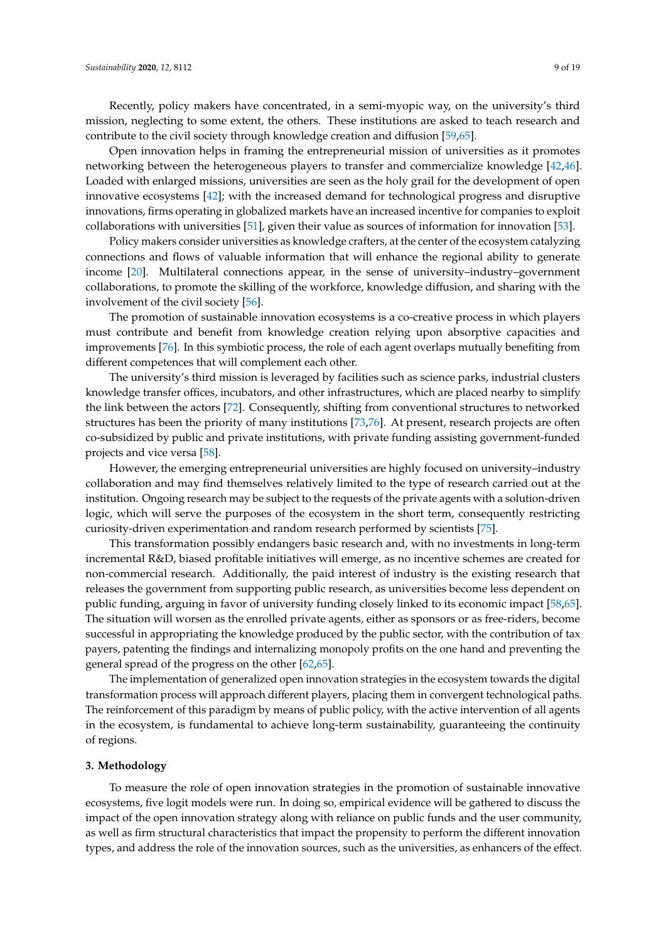Open innovation helps in framing the entrepreneurial mission of universities as it promotes networking between the heterogeneous players to transfer and commercialize knowledge [\[42,](#page-16-15)[46\]](#page-16-19). Loaded with enlarged missions, universities are seen as the holy grail for the development of open innovative ecosystems [\[42\]](#page-16-15); with the increased demand for technological progress and disruptive innovations, firms operating in globalized markets have an increased incentive for companies to exploit collaborations with universities [\[51\]](#page-16-24), given their value as sources of information for innovation [\[53\]](#page-17-1).

Policy makers consider universities as knowledge crafters, at the center of the ecosystem catalyzing connections and flows of valuable information that will enhance the regional ability to generate income [\[20\]](#page-15-19). Multilateral connections appear, in the sense of university–industry–government collaborations, to promote the skilling of the workforce, knowledge diffusion, and sharing with the involvement of the civil society [\[56\]](#page-17-4).

The promotion of sustainable innovation ecosystems is a co-creative process in which players must contribute and benefit from knowledge creation relying upon absorptive capacities and improvements [\[76\]](#page-18-0). In this symbiotic process, the role of each agent overlaps mutually benefiting from different competences that will complement each other.

The university's third mission is leveraged by facilities such as science parks, industrial clusters knowledge transfer offices, incubators, and other infrastructures, which are placed nearby to simplify the link between the actors [\[72\]](#page-17-20). Consequently, shifting from conventional structures to networked structures has been the priority of many institutions [\[73](#page-17-21)[,76\]](#page-18-0). At present, research projects are often co-subsidized by public and private institutions, with private funding assisting government-funded projects and vice versa [\[58\]](#page-17-6).

However, the emerging entrepreneurial universities are highly focused on university–industry collaboration and may find themselves relatively limited to the type of research carried out at the institution. Ongoing research may be subject to the requests of the private agents with a solution-driven logic, which will serve the purposes of the ecosystem in the short term, consequently restricting curiosity-driven experimentation and random research performed by scientists [\[75\]](#page-17-23).

This transformation possibly endangers basic research and, with no investments in long-term incremental R&D, biased profitable initiatives will emerge, as no incentive schemes are created for non-commercial research. Additionally, the paid interest of industry is the existing research that releases the government from supporting public research, as universities become less dependent on public funding, arguing in favor of university funding closely linked to its economic impact [\[58,](#page-17-6)[65\]](#page-17-13). The situation will worsen as the enrolled private agents, either as sponsors or as free-riders, become successful in appropriating the knowledge produced by the public sector, with the contribution of tax payers, patenting the findings and internalizing monopoly profits on the one hand and preventing the general spread of the progress on the other [\[62](#page-17-10)[,65\]](#page-17-13).

The implementation of generalized open innovation strategies in the ecosystem towards the digital transformation process will approach different players, placing them in convergent technological paths. The reinforcement of this paradigm by means of public policy, with the active intervention of all agents in the ecosystem, is fundamental to achieve long-term sustainability, guaranteeing the continuity of regions.

# **3. Methodology**

To measure the role of open innovation strategies in the promotion of sustainable innovative ecosystems, five logit models were run. In doing so, empirical evidence will be gathered to discuss the impact of the open innovation strategy along with reliance on public funds and the user community, as well as firm structural characteristics that impact the propensity to perform the different innovation types, and address the role of the innovation sources, such as the universities, as enhancers of the effect.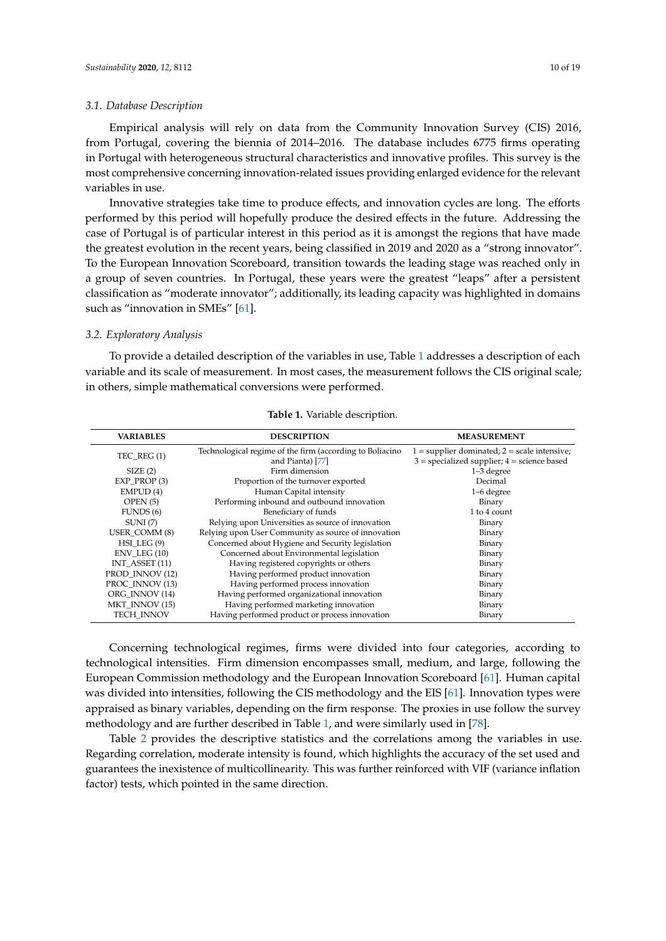#### *3.1. Database Description*

Empirical analysis will rely on data from the Community Innovation Survey (CIS) 2016, from Portugal, covering the biennia of 2014–2016. The database includes 6775 firms operating in Portugal with heterogeneous structural characteristics and innovative profiles. This survey is the most comprehensive concerning innovation-related issues providing enlarged evidence for the relevant variables in use.

Innovative strategies take time to produce effects, and innovation cycles are long. The efforts performed by this period will hopefully produce the desired effects in the future. Addressing the case of Portugal is of particular interest in this period as it is amongst the regions that have made the greatest evolution in the recent years, being classified in 2019 and 2020 as a "strong innovator". To the European Innovation Scoreboard, transition towards the leading stage was reached only in a group of seven countries. In Portugal, these years were the greatest "leaps" after a persistent classification as "moderate innovator"; additionally, its leading capacity was highlighted in domains such as "innovation in SMEs" [\[61\]](#page-17-9).

### *3.2. Exploratory Analysis*

To provide a detailed description of the variables in use, Table [1](#page-9-0) addresses a description of each variable and its scale of measurement. In most cases, the measurement follows the CIS original scale; in others, simple mathematical conversions were performed.

<span id="page-9-0"></span>

| <b>VARIABLES</b>  | <b>DESCRIPTION</b>                                       | <b>MEASUREMENT</b>                               |  |  |  |  |
|-------------------|----------------------------------------------------------|--------------------------------------------------|--|--|--|--|
| TEC REG $(1)$     | Technological regime of the firm (according to Boliacino | $1 =$ supplier dominated; $2 =$ scale intensive; |  |  |  |  |
|                   | and Pianta) [77]                                         | $3$ = specialized supplier; $4$ = science based  |  |  |  |  |
| SIZE(2)           | Firm dimension                                           | 1-3 degree                                       |  |  |  |  |
| EXP PROP (3)      | Proportion of the turnover exported                      | Decimal                                          |  |  |  |  |
| EMPUD(4)          | Human Capital intensity                                  | 1-6 degree                                       |  |  |  |  |
| OPEN(5)           | Performing inbound and outbound innovation               | Binary                                           |  |  |  |  |
| FUNDS(6)          | Beneficiary of funds                                     | 1 to 4 count                                     |  |  |  |  |
| SUMI(7)           | Relying upon Universities as source of innovation        | Binary                                           |  |  |  |  |
| USER_COMM (8)     | Relying upon User Community as source of innovation      | Binary                                           |  |  |  |  |
| $HSI$ LEG $(9)$   | Concerned about Hygiene and Security legislation         | Binary                                           |  |  |  |  |
| $ENV$ LEG $(10)$  | Concerned about Environmental legislation                | Binary                                           |  |  |  |  |
| INT ASSET $(11)$  | Having registered copyrights or others                   | Binary                                           |  |  |  |  |
| PROD INNOV (12)   | Having performed product innovation                      | Binary                                           |  |  |  |  |
| PROC INNOV (13)   | Having performed process innovation                      | Binary                                           |  |  |  |  |
| ORG INNOV (14)    | Having performed organizational innovation               | Binary                                           |  |  |  |  |
| MKT INNOV (15)    | Having performed marketing innovation                    | Binary                                           |  |  |  |  |
| <b>TECH INNOV</b> | Having performed product or process innovation           | Binary                                           |  |  |  |  |
|                   |                                                          |                                                  |  |  |  |  |

**Table 1.** Variable description.

Concerning technological regimes, firms were divided into four categories, according to technological intensities. Firm dimension encompasses small, medium, and large, following the European Commission methodology and the European Innovation Scoreboard [\[61\]](#page-17-9). Human capital was divided into intensities, following the CIS methodology and the EIS [\[61\]](#page-17-9). Innovation types were appraised as binary variables, depending on the firm response. The proxies in use follow the survey methodology and are further described in Table [1,](#page-9-0) and were similarly used in [\[78\]](#page-18-2).

Table [2](#page-10-0) provides the descriptive statistics and the correlations among the variables in use. Regarding correlation, moderate intensity is found, which highlights the accuracy of the set used and guarantees the inexistence of multicollinearity. This was further reinforced with VIF (variance inflation factor) tests, which pointed in the same direction.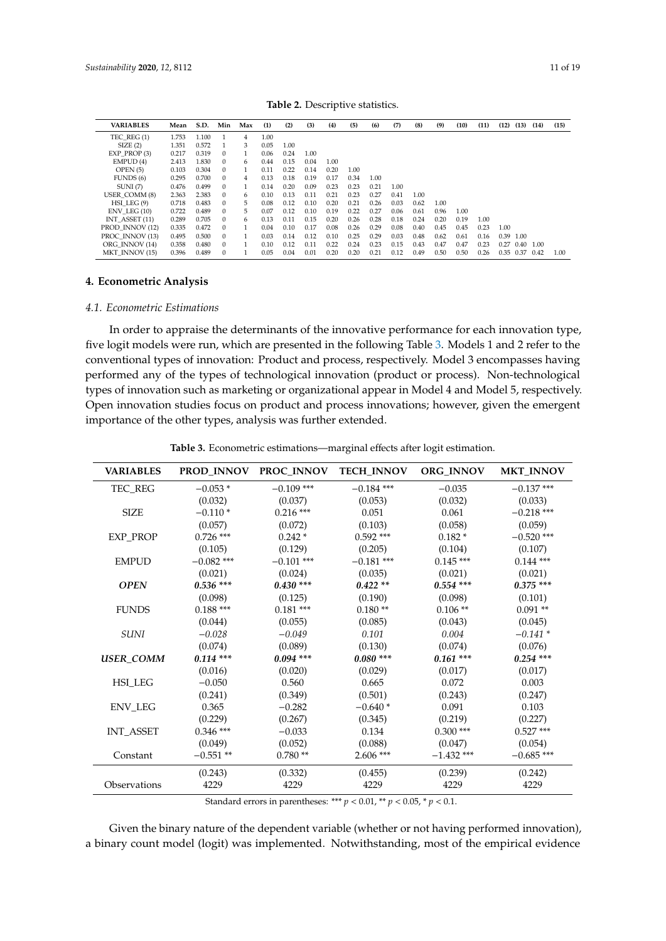<span id="page-10-0"></span>

| <b>VARIABLES</b> | Mean  | S.D.  | Min      | Max          | (1)  | (2)  | (3)  | (4)  | (5)  | (6)  | (7)  | (8)  | (9)  | (10) | (11) | (12) | (13) | (14) | (15) |
|------------------|-------|-------|----------|--------------|------|------|------|------|------|------|------|------|------|------|------|------|------|------|------|
| TEC REG(1)       | 1.753 | 1.100 |          | 4            | 1.00 |      |      |      |      |      |      |      |      |      |      |      |      |      |      |
| SIZE(2)          | 1.351 | 0.572 |          | 3            | 0.05 | 1.00 |      |      |      |      |      |      |      |      |      |      |      |      |      |
| $EXP$ $PROP(3)$  | 0.217 | 0.319 | 0        |              | 0.06 | 0.24 | 1.00 |      |      |      |      |      |      |      |      |      |      |      |      |
| EMPUD(4)         | 2.413 | 1.830 | 0        | 6            | 0.44 | 0.15 | 0.04 | 1.00 |      |      |      |      |      |      |      |      |      |      |      |
| OPEN(5)          | 0.103 | 0.304 | 0        | $\mathbf{1}$ | 0.11 | 0.22 | 0.14 | 0.20 | 1.00 |      |      |      |      |      |      |      |      |      |      |
| FUNDS(6)         | 0.295 | 0.700 | $\Omega$ | 4            | 0.13 | 0.18 | 0.19 | 0.17 | 0.34 | 1.00 |      |      |      |      |      |      |      |      |      |
| SUNI(7)          | 0.476 | 0.499 | $\Omega$ |              | 0.14 | 0.20 | 0.09 | 0.23 | 0.23 | 0.21 | 1.00 |      |      |      |      |      |      |      |      |
| USER COMM (8)    | 2.363 | 2.383 | 0        | 6            | 0.10 | 0.13 | 0.11 | 0.21 | 0.23 | 0.27 | 0.41 | 1.00 |      |      |      |      |      |      |      |
| $HSI$ LEG $(9)$  | 0.718 | 0.483 | $\Omega$ | 5.           | 0.08 | 0.12 | 0.10 | 0.20 | 0.21 | 0.26 | 0.03 | 0.62 | 1.00 |      |      |      |      |      |      |
| $ENV$ LEG $(10)$ | 0.722 | 0.489 | $\Omega$ | 5.           | 0.07 | 0.12 | 0.10 | 0.19 | 0.22 | 0.27 | 0.06 | 0.61 | 0.96 | 1.00 |      |      |      |      |      |
| INT ASSET $(11)$ | 0.289 | 0.705 | $\Omega$ | 6            | 0.13 | 0.11 | 0.15 | 0.20 | 0.26 | 0.28 | 0.18 | 0.24 | 0.20 | 0.19 | 1.00 |      |      |      |      |
| PROD INNOV (12)  | 0.335 | 0.472 | $\Omega$ |              | 0.04 | 0.10 | 0.17 | 0.08 | 0.26 | 0.29 | 0.08 | 0.40 | 0.45 | 0.45 | 0.23 | 1.00 |      |      |      |
| PROC INNOV (13)  | 0.495 | 0.500 | $\Omega$ |              | 0.03 | 0.14 | 0.12 | 0.10 | 0.25 | 0.29 | 0.03 | 0.48 | 0.62 | 0.61 | 0.16 | 0.39 | 1.00 |      |      |
| ORG INNOV (14)   | 0.358 | 0.480 | $\Omega$ |              | 0.10 | 0.12 | 0.11 | 0.22 | 0.24 | 0.23 | 0.15 | 0.43 | 0.47 | 0.47 | 0.23 | 0.27 | 0.40 | 1.00 |      |
| MKT INNOV (15)   | 0.396 | 0.489 | $\Omega$ |              | 0.05 | 0.04 | 0.01 | 0.20 | 0.20 | 0.21 | 0.12 | 0.49 | 0.50 | 0.50 | 0.26 | 0.35 | 0.37 | 0.42 | 1.00 |

## **4. Econometric Analysis**

#### *4.1. Econometric Estimations*

In order to appraise the determinants of the innovative performance for each innovation type, five logit models were run, which are presented in the following Table [3.](#page-10-1) Models 1 and 2 refer to the conventional types of innovation: Product and process, respectively. Model 3 encompasses having performed any of the types of technological innovation (product or process). Non-technological types of innovation such as marketing or organizational appear in Model 4 and Model 5, respectively. Open innovation studies focus on product and process innovations; however, given the emergent importance of the other types, analysis was further extended.

<span id="page-10-1"></span>

| <b>VARIABLES</b> | <b>PROD_INNOV</b> | <b>PROC_INNOV</b> | <b>TECH_INNOV</b> | ORG_INNOV    | <b>MKT_INNOV</b> |  |  |
|------------------|-------------------|-------------------|-------------------|--------------|------------------|--|--|
| TEC_REG          | $-0.053*$         | $-0.109$ ***      | $-0.184$ ***      | $-0.035$     | $-0.137$ ***     |  |  |
|                  | (0.032)           | (0.037)           | (0.053)           | (0.032)      | (0.033)          |  |  |
| <b>SIZE</b>      | $-0.110*$         | $0.216$ ***       | 0.051             | 0.061        | $-0.218$ ***     |  |  |
|                  | (0.057)           | (0.072)           | (0.103)           | (0.058)      | (0.059)          |  |  |
| EXP_PROP         | $0.726$ ***       | $0.242*$          | $0.592$ ***       | $0.182*$     | $-0.520$ ***     |  |  |
|                  | (0.105)           | (0.129)           | (0.205)           | (0.104)      | (0.107)          |  |  |
| <b>EMPUD</b>     | $-0.082$ ***      | $-0.101$ ***      | $-0.181$ ***      | $0.145$ ***  | $0.144$ ***      |  |  |
|                  | (0.021)           | (0.024)           | (0.035)           | (0.021)      | (0.021)          |  |  |
| <b>OPEN</b>      | $0.536$ ***       | $0.430$ ***       | $0.422**$         | $0.554$ ***  | $0.375$ ***      |  |  |
|                  | (0.098)           | (0.125)           | (0.190)           | (0.098)      | (0.101)          |  |  |
| <b>FUNDS</b>     | $0.188$ ***       | $0.181***$        | $0.180**$         | $0.106$ **   | $0.091**$        |  |  |
|                  | (0.044)           | (0.055)           | (0.085)           | (0.043)      | (0.045)          |  |  |
| SUNI             | $-0.028$          | $-0.049$          | 0.101             | 0.004        | $-0.141*$        |  |  |
|                  | (0.074)           | (0.089)           | (0.130)           | (0.074)      | (0.076)          |  |  |
| <b>USER COMM</b> | $0.114***$        | $0.094$ ***       | $0.080***$        | $0.161$ ***  | $0.254$ ***      |  |  |
|                  | (0.016)           | (0.020)           | (0.029)           | (0.017)      | (0.017)          |  |  |
| <b>HSI LEG</b>   | $-0.050$          | 0.560             | 0.665             | 0.072        | 0.003            |  |  |
|                  | (0.241)           | (0.349)           | (0.501)           | (0.243)      | (0.247)          |  |  |
| <b>ENV LEG</b>   | 0.365             | $-0.282$          | $-0.640*$         | 0.091        | 0.103            |  |  |
|                  | (0.229)           | (0.267)           | (0.345)           | (0.219)      | (0.227)          |  |  |
| <b>INT_ASSET</b> | $0.346$ ***       | $-0.033$          | 0.134             | $0.300$ ***  | $0.527$ ***      |  |  |
|                  | (0.049)           | (0.052)           | (0.088)           | (0.047)      | (0.054)          |  |  |
| Constant         | $-0.551$ **       | $0.780**$         | $2.606$ ***       | $-1.432$ *** | $-0.685$ ***     |  |  |
|                  | (0.243)           | (0.332)           | (0.455)           | (0.239)      | (0.242)          |  |  |
| Observations     | 4229              | 4229              | 4229              | 4229         | 4229             |  |  |

**Table 3.** Econometric estimations—marginal effects after logit estimation.

Standard errors in parentheses: \*\*\*  $p < 0.01$ , \*\*  $p < 0.05$ , \*  $p < 0.1$ .

Given the binary nature of the dependent variable (whether or not having performed innovation), a binary count model (logit) was implemented. Notwithstanding, most of the empirical evidence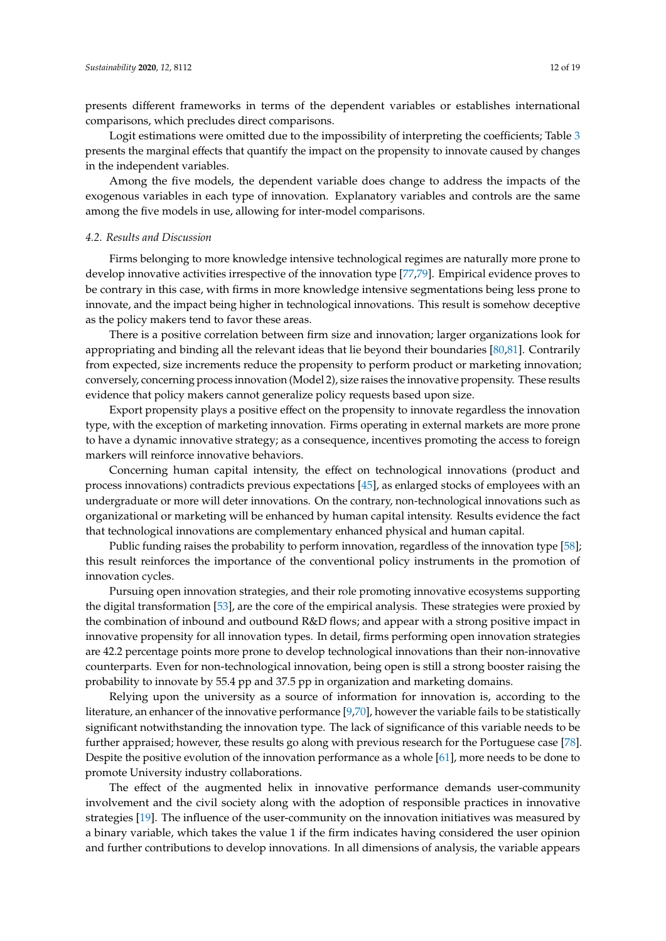presents different frameworks in terms of the dependent variables or establishes international comparisons, which precludes direct comparisons.

Logit estimations were omitted due to the impossibility of interpreting the coefficients; Table [3](#page-10-1) presents the marginal effects that quantify the impact on the propensity to innovate caused by changes in the independent variables.

Among the five models, the dependent variable does change to address the impacts of the exogenous variables in each type of innovation. Explanatory variables and controls are the same among the five models in use, allowing for inter-model comparisons.

# *4.2. Results and Discussion*

Firms belonging to more knowledge intensive technological regimes are naturally more prone to develop innovative activities irrespective of the innovation type [\[77](#page-18-1)[,79\]](#page-18-3). Empirical evidence proves to be contrary in this case, with firms in more knowledge intensive segmentations being less prone to innovate, and the impact being higher in technological innovations. This result is somehow deceptive as the policy makers tend to favor these areas.

There is a positive correlation between firm size and innovation; larger organizations look for appropriating and binding all the relevant ideas that lie beyond their boundaries [\[80,](#page-18-4)[81\]](#page-18-5). Contrarily from expected, size increments reduce the propensity to perform product or marketing innovation; conversely, concerning process innovation (Model 2), size raises the innovative propensity. These results evidence that policy makers cannot generalize policy requests based upon size.

Export propensity plays a positive effect on the propensity to innovate regardless the innovation type, with the exception of marketing innovation. Firms operating in external markets are more prone to have a dynamic innovative strategy; as a consequence, incentives promoting the access to foreign markers will reinforce innovative behaviors.

Concerning human capital intensity, the effect on technological innovations (product and process innovations) contradicts previous expectations [\[45\]](#page-16-18), as enlarged stocks of employees with an undergraduate or more will deter innovations. On the contrary, non-technological innovations such as organizational or marketing will be enhanced by human capital intensity. Results evidence the fact that technological innovations are complementary enhanced physical and human capital.

Public funding raises the probability to perform innovation, regardless of the innovation type [\[58\]](#page-17-6); this result reinforces the importance of the conventional policy instruments in the promotion of innovation cycles.

Pursuing open innovation strategies, and their role promoting innovative ecosystems supporting the digital transformation [\[53\]](#page-17-1), are the core of the empirical analysis. These strategies were proxied by the combination of inbound and outbound R&D flows; and appear with a strong positive impact in innovative propensity for all innovation types. In detail, firms performing open innovation strategies are 42.2 percentage points more prone to develop technological innovations than their non-innovative counterparts. Even for non-technological innovation, being open is still a strong booster raising the probability to innovate by 55.4 pp and 37.5 pp in organization and marketing domains.

Relying upon the university as a source of information for innovation is, according to the literature, an enhancer of the innovative performance [\[9](#page-15-8)[,70\]](#page-17-18), however the variable fails to be statistically significant notwithstanding the innovation type. The lack of significance of this variable needs to be further appraised; however, these results go along with previous research for the Portuguese case [\[78\]](#page-18-2). Despite the positive evolution of the innovation performance as a whole [\[61\]](#page-17-9), more needs to be done to promote University industry collaborations.

The effect of the augmented helix in innovative performance demands user-community involvement and the civil society along with the adoption of responsible practices in innovative strategies [\[19\]](#page-15-18). The influence of the user-community on the innovation initiatives was measured by a binary variable, which takes the value 1 if the firm indicates having considered the user opinion and further contributions to develop innovations. In all dimensions of analysis, the variable appears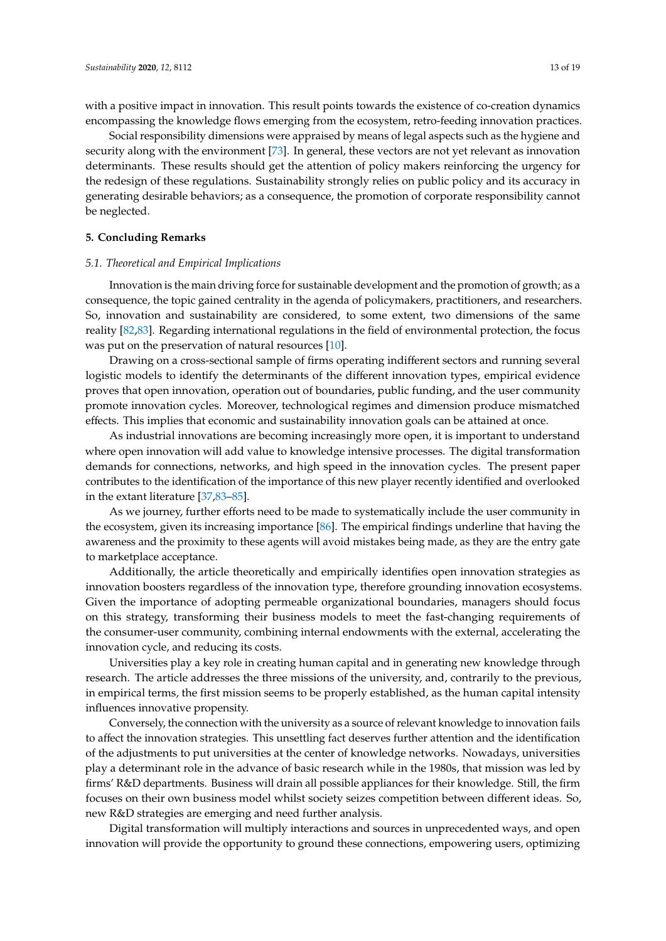with a positive impact in innovation. This result points towards the existence of co-creation dynamics encompassing the knowledge flows emerging from the ecosystem, retro-feeding innovation practices.

Social responsibility dimensions were appraised by means of legal aspects such as the hygiene and security along with the environment [\[73\]](#page-17-21). In general, these vectors are not yet relevant as innovation determinants. These results should get the attention of policy makers reinforcing the urgency for the redesign of these regulations. Sustainability strongly relies on public policy and its accuracy in generating desirable behaviors; as a consequence, the promotion of corporate responsibility cannot be neglected.

# **5. Concluding Remarks**

#### *5.1. Theoretical and Empirical Implications*

Innovation is the main driving force for sustainable development and the promotion of growth; as a consequence, the topic gained centrality in the agenda of policymakers, practitioners, and researchers. So, innovation and sustainability are considered, to some extent, two dimensions of the same reality [\[82](#page-18-6)[,83\]](#page-18-7). Regarding international regulations in the field of environmental protection, the focus was put on the preservation of natural resources [\[10\]](#page-15-9).

Drawing on a cross-sectional sample of firms operating indifferent sectors and running several logistic models to identify the determinants of the different innovation types, empirical evidence proves that open innovation, operation out of boundaries, public funding, and the user community promote innovation cycles. Moreover, technological regimes and dimension produce mismatched effects. This implies that economic and sustainability innovation goals can be attained at once.

As industrial innovations are becoming increasingly more open, it is important to understand where open innovation will add value to knowledge intensive processes. The digital transformation demands for connections, networks, and high speed in the innovation cycles. The present paper contributes to the identification of the importance of this new player recently identified and overlooked in the extant literature [\[37](#page-16-10)[,83](#page-18-7)[–85\]](#page-18-8).

As we journey, further efforts need to be made to systematically include the user community in the ecosystem, given its increasing importance [\[86\]](#page-18-9). The empirical findings underline that having the awareness and the proximity to these agents will avoid mistakes being made, as they are the entry gate to marketplace acceptance.

Additionally, the article theoretically and empirically identifies open innovation strategies as innovation boosters regardless of the innovation type, therefore grounding innovation ecosystems. Given the importance of adopting permeable organizational boundaries, managers should focus on this strategy, transforming their business models to meet the fast-changing requirements of the consumer-user community, combining internal endowments with the external, accelerating the innovation cycle, and reducing its costs.

Universities play a key role in creating human capital and in generating new knowledge through research. The article addresses the three missions of the university, and, contrarily to the previous, in empirical terms, the first mission seems to be properly established, as the human capital intensity influences innovative propensity.

Conversely, the connection with the university as a source of relevant knowledge to innovation fails to affect the innovation strategies. This unsettling fact deserves further attention and the identification of the adjustments to put universities at the center of knowledge networks. Nowadays, universities play a determinant role in the advance of basic research while in the 1980s, that mission was led by firms' R&D departments. Business will drain all possible appliances for their knowledge. Still, the firm focuses on their own business model whilst society seizes competition between different ideas. So, new R&D strategies are emerging and need further analysis.

Digital transformation will multiply interactions and sources in unprecedented ways, and open innovation will provide the opportunity to ground these connections, empowering users, optimizing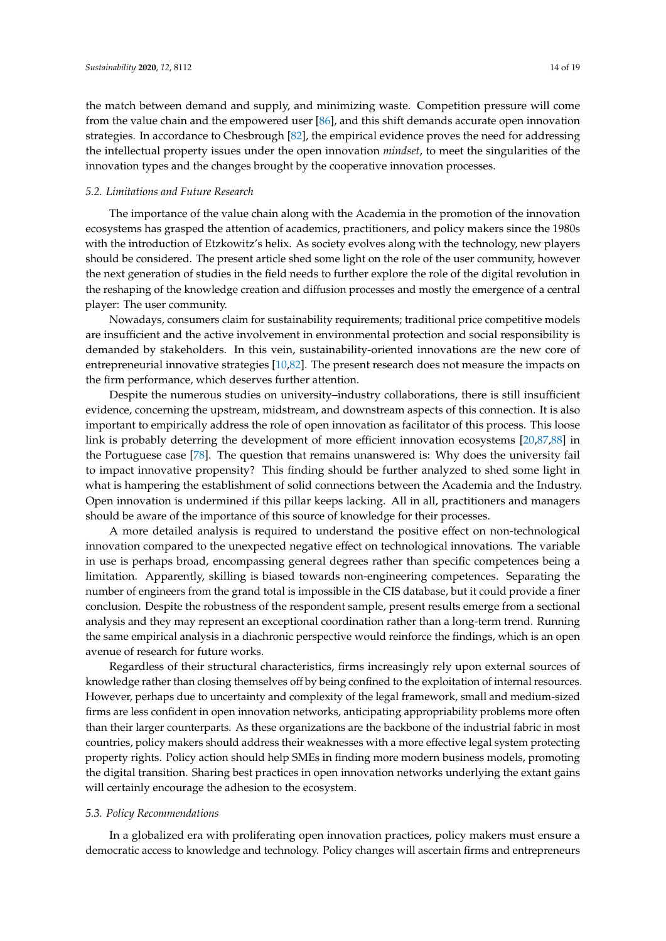the match between demand and supply, and minimizing waste. Competition pressure will come from the value chain and the empowered user [\[86\]](#page-18-9), and this shift demands accurate open innovation strategies. In accordance to Chesbrough [\[82\]](#page-18-6), the empirical evidence proves the need for addressing the intellectual property issues under the open innovation *mindset*, to meet the singularities of the innovation types and the changes brought by the cooperative innovation processes.

#### *5.2. Limitations and Future Research*

The importance of the value chain along with the Academia in the promotion of the innovation ecosystems has grasped the attention of academics, practitioners, and policy makers since the 1980s with the introduction of Etzkowitz's helix. As society evolves along with the technology, new players should be considered. The present article shed some light on the role of the user community, however the next generation of studies in the field needs to further explore the role of the digital revolution in the reshaping of the knowledge creation and diffusion processes and mostly the emergence of a central player: The user community.

Nowadays, consumers claim for sustainability requirements; traditional price competitive models are insufficient and the active involvement in environmental protection and social responsibility is demanded by stakeholders. In this vein, sustainability-oriented innovations are the new core of entrepreneurial innovative strategies [\[10](#page-15-9)[,82\]](#page-18-6). The present research does not measure the impacts on the firm performance, which deserves further attention.

Despite the numerous studies on university–industry collaborations, there is still insufficient evidence, concerning the upstream, midstream, and downstream aspects of this connection. It is also important to empirically address the role of open innovation as facilitator of this process. This loose link is probably deterring the development of more efficient innovation ecosystems [\[20](#page-15-19)[,87](#page-18-10)[,88\]](#page-18-11) in the Portuguese case [\[78\]](#page-18-2). The question that remains unanswered is: Why does the university fail to impact innovative propensity? This finding should be further analyzed to shed some light in what is hampering the establishment of solid connections between the Academia and the Industry. Open innovation is undermined if this pillar keeps lacking. All in all, practitioners and managers should be aware of the importance of this source of knowledge for their processes.

A more detailed analysis is required to understand the positive effect on non-technological innovation compared to the unexpected negative effect on technological innovations. The variable in use is perhaps broad, encompassing general degrees rather than specific competences being a limitation. Apparently, skilling is biased towards non-engineering competences. Separating the number of engineers from the grand total is impossible in the CIS database, but it could provide a finer conclusion. Despite the robustness of the respondent sample, present results emerge from a sectional analysis and they may represent an exceptional coordination rather than a long-term trend. Running the same empirical analysis in a diachronic perspective would reinforce the findings, which is an open avenue of research for future works.

Regardless of their structural characteristics, firms increasingly rely upon external sources of knowledge rather than closing themselves off by being confined to the exploitation of internal resources. However, perhaps due to uncertainty and complexity of the legal framework, small and medium-sized firms are less confident in open innovation networks, anticipating appropriability problems more often than their larger counterparts. As these organizations are the backbone of the industrial fabric in most countries, policy makers should address their weaknesses with a more effective legal system protecting property rights. Policy action should help SMEs in finding more modern business models, promoting the digital transition. Sharing best practices in open innovation networks underlying the extant gains will certainly encourage the adhesion to the ecosystem.

# *5.3. Policy Recommendations*

In a globalized era with proliferating open innovation practices, policy makers must ensure a democratic access to knowledge and technology. Policy changes will ascertain firms and entrepreneurs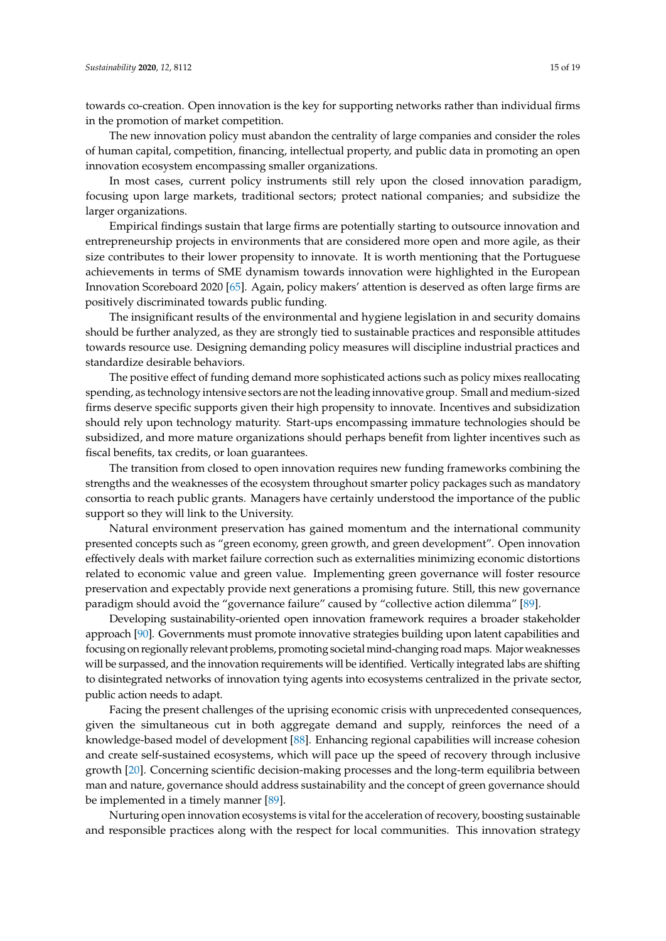towards co-creation. Open innovation is the key for supporting networks rather than individual firms in the promotion of market competition.

The new innovation policy must abandon the centrality of large companies and consider the roles of human capital, competition, financing, intellectual property, and public data in promoting an open innovation ecosystem encompassing smaller organizations.

In most cases, current policy instruments still rely upon the closed innovation paradigm, focusing upon large markets, traditional sectors; protect national companies; and subsidize the larger organizations.

Empirical findings sustain that large firms are potentially starting to outsource innovation and entrepreneurship projects in environments that are considered more open and more agile, as their size contributes to their lower propensity to innovate. It is worth mentioning that the Portuguese achievements in terms of SME dynamism towards innovation were highlighted in the European Innovation Scoreboard 2020 [\[65\]](#page-17-13). Again, policy makers' attention is deserved as often large firms are positively discriminated towards public funding.

The insignificant results of the environmental and hygiene legislation in and security domains should be further analyzed, as they are strongly tied to sustainable practices and responsible attitudes towards resource use. Designing demanding policy measures will discipline industrial practices and standardize desirable behaviors.

The positive effect of funding demand more sophisticated actions such as policy mixes reallocating spending, as technology intensive sectors are not the leading innovative group. Small and medium-sized firms deserve specific supports given their high propensity to innovate. Incentives and subsidization should rely upon technology maturity. Start-ups encompassing immature technologies should be subsidized, and more mature organizations should perhaps benefit from lighter incentives such as fiscal benefits, tax credits, or loan guarantees.

The transition from closed to open innovation requires new funding frameworks combining the strengths and the weaknesses of the ecosystem throughout smarter policy packages such as mandatory consortia to reach public grants. Managers have certainly understood the importance of the public support so they will link to the University.

Natural environment preservation has gained momentum and the international community presented concepts such as "green economy, green growth, and green development". Open innovation effectively deals with market failure correction such as externalities minimizing economic distortions related to economic value and green value. Implementing green governance will foster resource preservation and expectably provide next generations a promising future. Still, this new governance paradigm should avoid the "governance failure" caused by "collective action dilemma" [\[89\]](#page-18-12).

Developing sustainability-oriented open innovation framework requires a broader stakeholder approach [\[90\]](#page-18-13). Governments must promote innovative strategies building upon latent capabilities and focusing on regionally relevant problems, promoting societal mind-changing road maps. Major weaknesses will be surpassed, and the innovation requirements will be identified. Vertically integrated labs are shifting to disintegrated networks of innovation tying agents into ecosystems centralized in the private sector, public action needs to adapt.

Facing the present challenges of the uprising economic crisis with unprecedented consequences, given the simultaneous cut in both aggregate demand and supply, reinforces the need of a knowledge-based model of development [\[88\]](#page-18-11). Enhancing regional capabilities will increase cohesion and create self-sustained ecosystems, which will pace up the speed of recovery through inclusive growth [\[20\]](#page-15-19). Concerning scientific decision-making processes and the long-term equilibria between man and nature, governance should address sustainability and the concept of green governance should be implemented in a timely manner [\[89\]](#page-18-12).

Nurturing open innovation ecosystems is vital for the acceleration of recovery, boosting sustainable and responsible practices along with the respect for local communities. This innovation strategy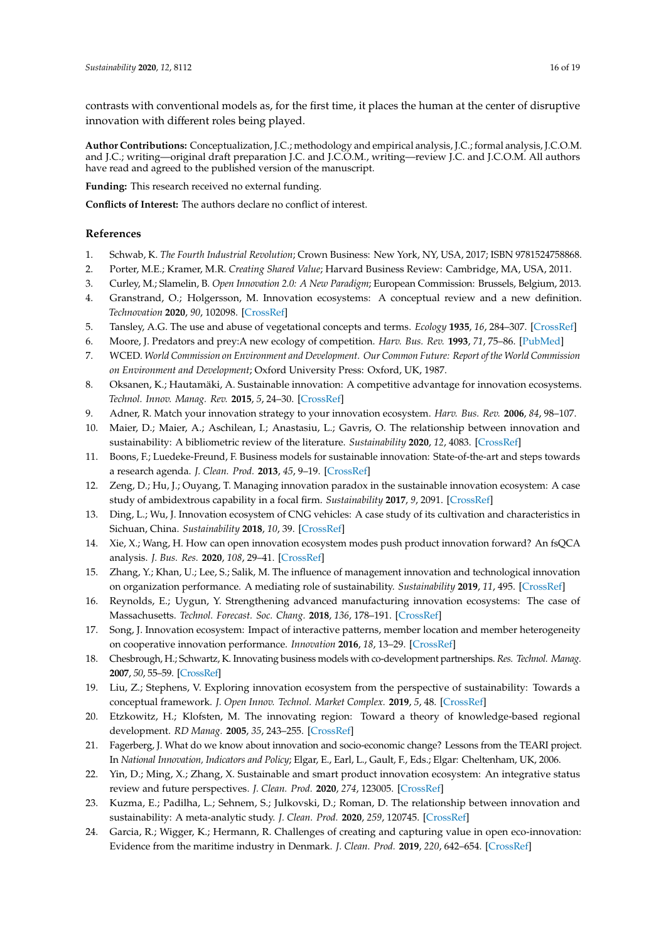contrasts with conventional models as, for the first time, it places the human at the center of disruptive innovation with different roles being played.

**Author Contributions:** Conceptualization, J.C.; methodology and empirical analysis, J.C.; formal analysis, J.C.O.M. and J.C.; writing—original draft preparation J.C. and J.C.O.M., writing—review J.C. and J.C.O.M. All authors have read and agreed to the published version of the manuscript.

**Funding:** This research received no external funding.

**Conflicts of Interest:** The authors declare no conflict of interest.

# **References**

- <span id="page-15-0"></span>1. Schwab, K. *The Fourth Industrial Revolution*; Crown Business: New York, NY, USA, 2017; ISBN 9781524758868.
- <span id="page-15-1"></span>2. Porter, M.E.; Kramer, M.R. *Creating Shared Value*; Harvard Business Review: Cambridge, MA, USA, 2011.
- <span id="page-15-2"></span>3. Curley, M.; Slamelin, B. *Open Innovation 2.0: A New Paradigm*; European Commission: Brussels, Belgium, 2013.
- <span id="page-15-3"></span>4. Granstrand, O.; Holgersson, M. Innovation ecosystems: A conceptual review and a new definition. *Technovation* **2020**, *90*, 102098. [\[CrossRef\]](http://dx.doi.org/10.1016/j.technovation.2019.102098)
- <span id="page-15-4"></span>5. Tansley, A.G. The use and abuse of vegetational concepts and terms. *Ecology* **1935**, *16*, 284–307. [\[CrossRef\]](http://dx.doi.org/10.2307/1930070)
- <span id="page-15-5"></span>6. Moore, J. Predators and prey:A new ecology of competition. *Harv. Bus. Rev.* **1993**, *71*, 75–86. [\[PubMed\]](http://www.ncbi.nlm.nih.gov/pubmed/10126156)
- <span id="page-15-6"></span>7. WCED. *World Commission on Environment and Development. Our Common Future: Report of the World Commission on Environment and Development*; Oxford University Press: Oxford, UK, 1987.
- <span id="page-15-7"></span>8. Oksanen, K.; Hautamäki, A. Sustainable innovation: A competitive advantage for innovation ecosystems. *Technol. Innov. Manag. Rev.* **2015**, *5*, 24–30. [\[CrossRef\]](http://dx.doi.org/10.22215/timreview/934)
- <span id="page-15-8"></span>9. Adner, R. Match your innovation strategy to your innovation ecosystem. *Harv. Bus. Rev.* **2006**, *84*, 98–107.
- <span id="page-15-9"></span>10. Maier, D.; Maier, A.; Aschilean, I.; Anastasiu, L.; Gavris, O. The relationship between innovation and sustainability: A bibliometric review of the literature. *Sustainability* **2020**, *12*, 4083. [\[CrossRef\]](http://dx.doi.org/10.3390/su12104083)
- <span id="page-15-10"></span>11. Boons, F.; Luedeke-Freund, F. Business models for sustainable innovation: State-of-the-art and steps towards a research agenda. *J. Clean. Prod.* **2013**, *45*, 9–19. [\[CrossRef\]](http://dx.doi.org/10.1016/j.jclepro.2012.07.007)
- <span id="page-15-11"></span>12. Zeng, D.; Hu, J.; Ouyang, T. Managing innovation paradox in the sustainable innovation ecosystem: A case study of ambidextrous capability in a focal firm. *Sustainability* **2017**, *9*, 2091. [\[CrossRef\]](http://dx.doi.org/10.3390/su9112091)
- <span id="page-15-12"></span>13. Ding, L.; Wu, J. Innovation ecosystem of CNG vehicles: A case study of its cultivation and characteristics in Sichuan, China. *Sustainability* **2018**, *10*, 39. [\[CrossRef\]](http://dx.doi.org/10.3390/su10010039)
- <span id="page-15-13"></span>14. Xie, X.; Wang, H. How can open innovation ecosystem modes push product innovation forward? An fsQCA analysis. *J. Bus. Res.* **2020**, *108*, 29–41. [\[CrossRef\]](http://dx.doi.org/10.1016/j.jbusres.2019.10.011)
- <span id="page-15-14"></span>15. Zhang, Y.; Khan, U.; Lee, S.; Salik, M. The influence of management innovation and technological innovation on organization performance. A mediating role of sustainability. *Sustainability* **2019**, *11*, 495. [\[CrossRef\]](http://dx.doi.org/10.3390/su11020495)
- <span id="page-15-15"></span>16. Reynolds, E.; Uygun, Y. Strengthening advanced manufacturing innovation ecosystems: The case of Massachusetts. *Technol. Forecast. Soc. Chang.* **2018**, *136*, 178–191. [\[CrossRef\]](http://dx.doi.org/10.1016/j.techfore.2017.06.003)
- <span id="page-15-16"></span>17. Song, J. Innovation ecosystem: Impact of interactive patterns, member location and member heterogeneity on cooperative innovation performance. *Innovation* **2016**, *18*, 13–29. [\[CrossRef\]](http://dx.doi.org/10.1080/14479338.2016.1165624)
- <span id="page-15-17"></span>18. Chesbrough, H.; Schwartz, K. Innovating business models with co-development partnerships. *Res. Technol. Manag.* **2007**, *50*, 55–59. [\[CrossRef\]](http://dx.doi.org/10.1080/08956308.2007.11657419)
- <span id="page-15-18"></span>19. Liu, Z.; Stephens, V. Exploring innovation ecosystem from the perspective of sustainability: Towards a conceptual framework. *J. Open Innov. Technol. Market Complex.* **2019**, *5*, 48. [\[CrossRef\]](http://dx.doi.org/10.3390/joitmc5030048)
- <span id="page-15-19"></span>20. Etzkowitz, H.; Klofsten, M. The innovating region: Toward a theory of knowledge-based regional development. *RD Manag.* **2005**, *35*, 243–255. [\[CrossRef\]](http://dx.doi.org/10.1111/j.1467-9310.2005.00387.x)
- <span id="page-15-20"></span>21. Fagerberg, J. What do we know about innovation and socio-economic change? Lessons from the TEARI project. In *National Innovation, Indicators and Policy*; Elgar, E., Earl, L., Gault, F., Eds.; Elgar: Cheltenham, UK, 2006.
- <span id="page-15-21"></span>22. Yin, D.; Ming, X.; Zhang, X. Sustainable and smart product innovation ecosystem: An integrative status review and future perspectives. *J. Clean. Prod.* **2020**, *274*, 123005. [\[CrossRef\]](http://dx.doi.org/10.1016/j.jclepro.2020.123005)
- <span id="page-15-22"></span>23. Kuzma, E.; Padilha, L.; Sehnem, S.; Julkovski, D.; Roman, D. The relationship between innovation and sustainability: A meta-analytic study. *J. Clean. Prod.* **2020**, *259*, 120745. [\[CrossRef\]](http://dx.doi.org/10.1016/j.jclepro.2020.120745)
- <span id="page-15-23"></span>24. Garcia, R.; Wigger, K.; Hermann, R. Challenges of creating and capturing value in open eco-innovation: Evidence from the maritime industry in Denmark. *J. Clean. Prod.* **2019**, *220*, 642–654. [\[CrossRef\]](http://dx.doi.org/10.1016/j.jclepro.2019.02.027)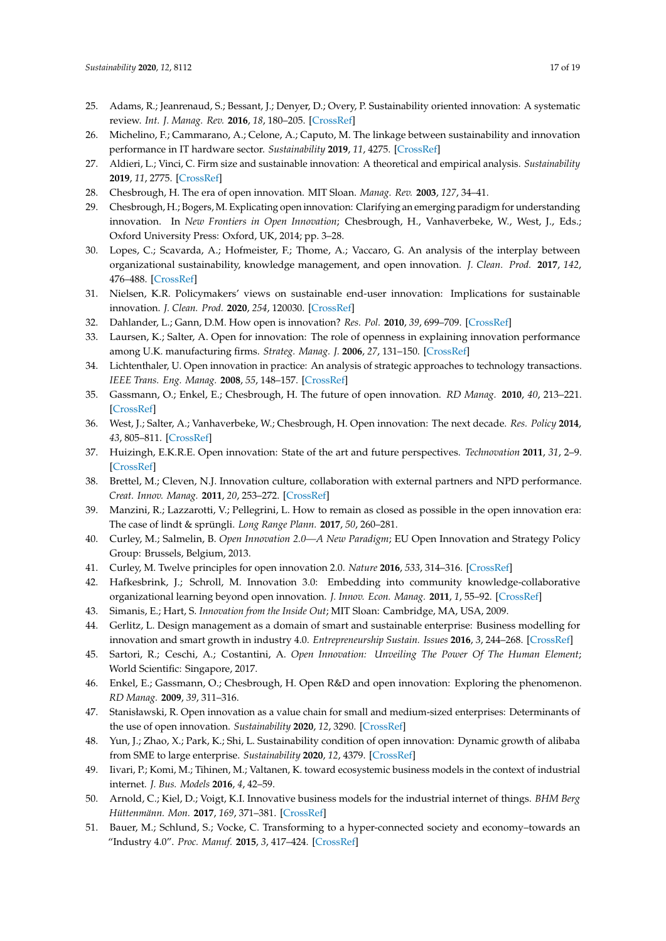- <span id="page-16-0"></span>25. Adams, R.; Jeanrenaud, S.; Bessant, J.; Denyer, D.; Overy, P. Sustainability oriented innovation: A systematic review. *Int. J. Manag. Rev.* **2016**, *18*, 180–205. [\[CrossRef\]](http://dx.doi.org/10.1111/ijmr.12068)
- <span id="page-16-1"></span>26. Michelino, F.; Cammarano, A.; Celone, A.; Caputo, M. The linkage between sustainability and innovation performance in IT hardware sector. *Sustainability* **2019**, *11*, 4275. [\[CrossRef\]](http://dx.doi.org/10.3390/su11164275)
- <span id="page-16-2"></span>27. Aldieri, L.; Vinci, C. Firm size and sustainable innovation: A theoretical and empirical analysis. *Sustainability* **2019**, *11*, 2775. [\[CrossRef\]](http://dx.doi.org/10.3390/su11102775)
- <span id="page-16-3"></span>28. Chesbrough, H. The era of open innovation. MIT Sloan. *Manag. Rev.* **2003**, *127*, 34–41.
- <span id="page-16-4"></span>29. Chesbrough, H.; Bogers, M. Explicating open innovation: Clarifying an emerging paradigm for understanding innovation. In *New Frontiers in Open Innovation*; Chesbrough, H., Vanhaverbeke, W., West, J., Eds.; Oxford University Press: Oxford, UK, 2014; pp. 3–28.
- <span id="page-16-5"></span>30. Lopes, C.; Scavarda, A.; Hofmeister, F.; Thome, A.; Vaccaro, G. An analysis of the interplay between organizational sustainability, knowledge management, and open innovation. *J. Clean. Prod.* **2017**, *142*, 476–488. [\[CrossRef\]](http://dx.doi.org/10.1016/j.jclepro.2016.10.083)
- <span id="page-16-6"></span>31. Nielsen, K.R. Policymakers' views on sustainable end-user innovation: Implications for sustainable innovation. *J. Clean. Prod.* **2020**, *254*, 120030. [\[CrossRef\]](http://dx.doi.org/10.1016/j.jclepro.2020.120030)
- <span id="page-16-7"></span>32. Dahlander, L.; Gann, D.M. How open is innovation? *Res. Pol.* **2010**, *39*, 699–709. [\[CrossRef\]](http://dx.doi.org/10.1016/j.respol.2010.01.013)
- <span id="page-16-8"></span>33. Laursen, K.; Salter, A. Open for innovation: The role of openness in explaining innovation performance among U.K. manufacturing firms. *Strateg. Manag. J.* **2006**, *27*, 131–150. [\[CrossRef\]](http://dx.doi.org/10.1002/smj.507)
- 34. Lichtenthaler, U. Open innovation in practice: An analysis of strategic approaches to technology transactions. *IEEE Trans. Eng. Manag.* **2008**, *55*, 148–157. [\[CrossRef\]](http://dx.doi.org/10.1109/TEM.2007.912932)
- 35. Gassmann, O.; Enkel, E.; Chesbrough, H. The future of open innovation. *RD Manag.* **2010**, *40*, 213–221. [\[CrossRef\]](http://dx.doi.org/10.1111/j.1467-9310.2010.00605.x)
- <span id="page-16-9"></span>36. West, J.; Salter, A.; Vanhaverbeke, W.; Chesbrough, H. Open innovation: The next decade. *Res. Policy* **2014**, *43*, 805–811. [\[CrossRef\]](http://dx.doi.org/10.1016/j.respol.2014.03.001)
- <span id="page-16-10"></span>37. Huizingh, E.K.R.E. Open innovation: State of the art and future perspectives. *Technovation* **2011**, *31*, 2–9. [\[CrossRef\]](http://dx.doi.org/10.1016/j.technovation.2010.10.002)
- <span id="page-16-11"></span>38. Brettel, M.; Cleven, N.J. Innovation culture, collaboration with external partners and NPD performance. *Creat. Innov. Manag.* **2011**, *20*, 253–272. [\[CrossRef\]](http://dx.doi.org/10.1111/j.1467-8691.2011.00617.x)
- <span id="page-16-12"></span>39. Manzini, R.; Lazzarotti, V.; Pellegrini, L. How to remain as closed as possible in the open innovation era: The case of lindt & sprüngli. *Long Range Plann.* **2017**, *50*, 260–281.
- <span id="page-16-13"></span>40. Curley, M.; Salmelin, B. *Open Innovation 2.0—A New Paradigm*; EU Open Innovation and Strategy Policy Group: Brussels, Belgium, 2013.
- <span id="page-16-14"></span>41. Curley, M. Twelve principles for open innovation 2.0. *Nature* **2016**, *533*, 314–316. [\[CrossRef\]](http://dx.doi.org/10.1038/533314a)
- <span id="page-16-15"></span>42. Hafkesbrink, J.; Schroll, M. Innovation 3.0: Embedding into community knowledge-collaborative organizational learning beyond open innovation. *J. Innov. Econ. Manag.* **2011**, *1*, 55–92. [\[CrossRef\]](http://dx.doi.org/10.3917/jie.007.0055)
- <span id="page-16-16"></span>43. Simanis, E.; Hart, S. *Innovation from the Inside Out*; MIT Sloan: Cambridge, MA, USA, 2009.
- <span id="page-16-17"></span>44. Gerlitz, L. Design management as a domain of smart and sustainable enterprise: Business modelling for innovation and smart growth in industry 4.0. *Entrepreneurship Sustain. Issues* **2016**, *3*, 244–268. [\[CrossRef\]](http://dx.doi.org/10.9770/jesi.2016.3.3(3))
- <span id="page-16-18"></span>45. Sartori, R.; Ceschi, A.; Costantini, A. *Open Innovation: Unveiling The Power Of The Human Element*; World Scientific: Singapore, 2017.
- <span id="page-16-19"></span>46. Enkel, E.; Gassmann, O.; Chesbrough, H. Open R&D and open innovation: Exploring the phenomenon. *RD Manag.* **2009**, *39*, 311–316.
- <span id="page-16-20"></span>47. Stanisławski, R. Open innovation as a value chain for small and medium-sized enterprises: Determinants of the use of open innovation. *Sustainability* **2020**, *12*, 3290. [\[CrossRef\]](http://dx.doi.org/10.3390/su12083290)
- <span id="page-16-21"></span>48. Yun, J.; Zhao, X.; Park, K.; Shi, L. Sustainability condition of open innovation: Dynamic growth of alibaba from SME to large enterprise. *Sustainability* **2020**, *12*, 4379. [\[CrossRef\]](http://dx.doi.org/10.3390/su12114379)
- <span id="page-16-22"></span>49. Iivari, P.; Komi, M.; Tihinen, M.; Valtanen, K. toward ecosystemic business models in the context of industrial internet. *J. Bus. Models* **2016**, *4*, 42–59.
- <span id="page-16-23"></span>50. Arnold, C.; Kiel, D.; Voigt, K.I. Innovative business models for the industrial internet of things. *BHM Berg Hüttenmänn. Mon.* **2017**, *169*, 371–381. [\[CrossRef\]](http://dx.doi.org/10.1007/s00501-017-0667-7)
- <span id="page-16-24"></span>51. Bauer, M.; Schlund, S.; Vocke, C. Transforming to a hyper-connected society and economy–towards an "Industry 4.0". *Proc. Manuf.* **2015**, *3*, 417–424. [\[CrossRef\]](http://dx.doi.org/10.1016/j.promfg.2015.07.200)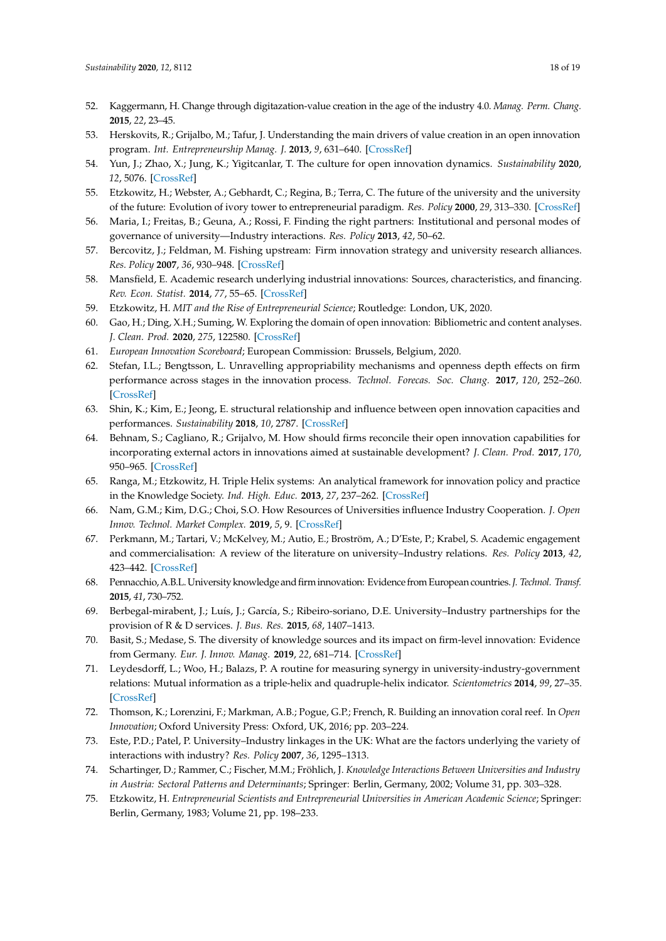- <span id="page-17-0"></span>52. Kaggermann, H. Change through digitazation-value creation in the age of the industry 4.0. *Manag. Perm. Chang.* **2015**, *22*, 23–45.
- <span id="page-17-1"></span>53. Herskovits, R.; Grijalbo, M.; Tafur, J. Understanding the main drivers of value creation in an open innovation program. *Int. Entrepreneurship Manag. J.* **2013**, *9*, 631–640. [\[CrossRef\]](http://dx.doi.org/10.1007/s11365-013-0267-2)
- <span id="page-17-2"></span>54. Yun, J.; Zhao, X.; Jung, K.; Yigitcanlar, T. The culture for open innovation dynamics. *Sustainability* **2020**, *12*, 5076. [\[CrossRef\]](http://dx.doi.org/10.3390/su12125076)
- <span id="page-17-3"></span>55. Etzkowitz, H.; Webster, A.; Gebhardt, C.; Regina, B.; Terra, C. The future of the university and the university of the future: Evolution of ivory tower to entrepreneurial paradigm. *Res. Policy* **2000**, *29*, 313–330. [\[CrossRef\]](http://dx.doi.org/10.1016/S0048-7333(99)00069-4)
- <span id="page-17-4"></span>56. Maria, I.; Freitas, B.; Geuna, A.; Rossi, F. Finding the right partners: Institutional and personal modes of governance of university—Industry interactions. *Res. Policy* **2013**, *42*, 50–62.
- <span id="page-17-5"></span>57. Bercovitz, J.; Feldman, M. Fishing upstream: Firm innovation strategy and university research alliances. *Res. Policy* **2007**, *36*, 930–948. [\[CrossRef\]](http://dx.doi.org/10.1016/j.respol.2007.03.002)
- <span id="page-17-6"></span>58. Mansfield, E. Academic research underlying industrial innovations: Sources, characteristics, and financing. *Rev. Econ. Statist.* **2014**, *77*, 55–65. [\[CrossRef\]](http://dx.doi.org/10.2307/2109992)
- <span id="page-17-7"></span>59. Etzkowitz, H. *MIT and the Rise of Entrepreneurial Science*; Routledge: London, UK, 2020.
- <span id="page-17-8"></span>60. Gao, H.; Ding, X.H.; Suming, W. Exploring the domain of open innovation: Bibliometric and content analyses. *J. Clean. Prod.* **2020**, *275*, 122580. [\[CrossRef\]](http://dx.doi.org/10.1016/j.jclepro.2020.122580)
- <span id="page-17-9"></span>61. *European Innovation Scoreboard*; European Commission: Brussels, Belgium, 2020.
- <span id="page-17-10"></span>62. Stefan, I.L.; Bengtsson, L. Unravelling appropriability mechanisms and openness depth effects on firm performance across stages in the innovation process. *Technol. Forecas. Soc. Chang.* **2017**, *120*, 252–260. [\[CrossRef\]](http://dx.doi.org/10.1016/j.techfore.2017.03.014)
- <span id="page-17-11"></span>63. Shin, K.; Kim, E.; Jeong, E. structural relationship and influence between open innovation capacities and performances. *Sustainability* **2018**, *10*, 2787. [\[CrossRef\]](http://dx.doi.org/10.3390/su10082787)
- <span id="page-17-12"></span>64. Behnam, S.; Cagliano, R.; Grijalvo, M. How should firms reconcile their open innovation capabilities for incorporating external actors in innovations aimed at sustainable development? *J. Clean. Prod.* **2017**, *170*, 950–965. [\[CrossRef\]](http://dx.doi.org/10.1016/j.jclepro.2017.09.168)
- <span id="page-17-13"></span>65. Ranga, M.; Etzkowitz, H. Triple Helix systems: An analytical framework for innovation policy and practice in the Knowledge Society. *Ind. High. Educ.* **2013**, *27*, 237–262. [\[CrossRef\]](http://dx.doi.org/10.5367/ihe.2013.0165)
- <span id="page-17-14"></span>66. Nam, G.M.; Kim, D.G.; Choi, S.O. How Resources of Universities influence Industry Cooperation. *J. Open Innov. Technol. Market Complex.* **2019**, *5*, 9. [\[CrossRef\]](http://dx.doi.org/10.3390/joitmc5010009)
- <span id="page-17-15"></span>67. Perkmann, M.; Tartari, V.; McKelvey, M.; Autio, E.; Broström, A.; D'Este, P.; Krabel, S. Academic engagement and commercialisation: A review of the literature on university–Industry relations. *Res. Policy* **2013**, *42*, 423–442. [\[CrossRef\]](http://dx.doi.org/10.1016/j.respol.2012.09.007)
- <span id="page-17-16"></span>68. Pennacchio, A.B.L. University knowledge and firminnovation: Evidence from European countries.*J. Technol. Transf.* **2015**, *41*, 730–752.
- <span id="page-17-17"></span>69. Berbegal-mirabent, J.; Luís, J.; García, S.; Ribeiro-soriano, D.E. University–Industry partnerships for the provision of R & D services. *J. Bus. Res.* **2015**, *68*, 1407–1413.
- <span id="page-17-18"></span>70. Basit, S.; Medase, S. The diversity of knowledge sources and its impact on firm-level innovation: Evidence from Germany. *Eur. J. Innov. Manag.* **2019**, *22*, 681–714. [\[CrossRef\]](http://dx.doi.org/10.1108/EJIM-10-2018-0232)
- <span id="page-17-19"></span>71. Leydesdorff, L.; Woo, H.; Balazs, P. A routine for measuring synergy in university-industry-government relations: Mutual information as a triple-helix and quadruple-helix indicator. *Scientometrics* **2014**, *99*, 27–35. [\[CrossRef\]](http://dx.doi.org/10.1007/s11192-013-1079-4)
- <span id="page-17-20"></span>72. Thomson, K.; Lorenzini, F.; Markman, A.B.; Pogue, G.P.; French, R. Building an innovation coral reef. In *Open Innovation*; Oxford University Press: Oxford, UK, 2016; pp. 203–224.
- <span id="page-17-21"></span>73. Este, P.D.; Patel, P. University–Industry linkages in the UK: What are the factors underlying the variety of interactions with industry? *Res. Policy* **2007**, *36*, 1295–1313.
- <span id="page-17-22"></span>74. Schartinger, D.; Rammer, C.; Fischer, M.M.; Fröhlich, J. *Knowledge Interactions Between Universities and Industry in Austria: Sectoral Patterns and Determinants*; Springer: Berlin, Germany, 2002; Volume 31, pp. 303–328.
- <span id="page-17-23"></span>75. Etzkowitz, H. *Entrepreneurial Scientists and Entrepreneurial Universities in American Academic Science*; Springer: Berlin, Germany, 1983; Volume 21, pp. 198–233.